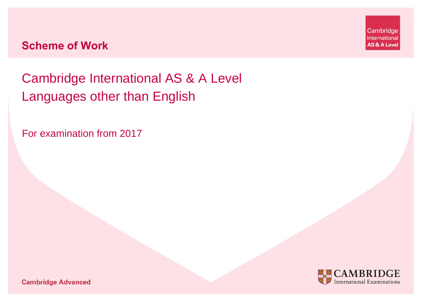Cambridge International AS & A Level Languages other than English

For examination from 2017



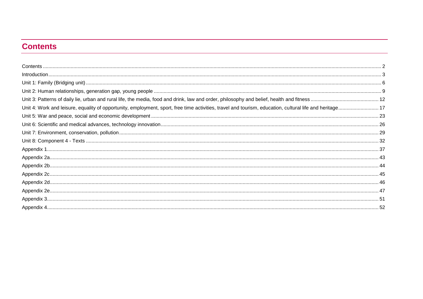# <span id="page-1-0"></span>**Contents**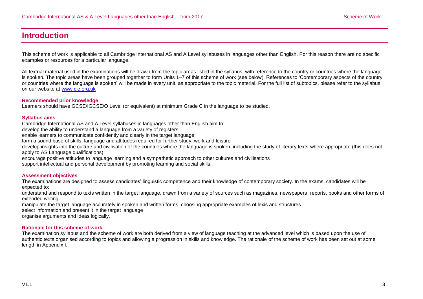# <span id="page-2-0"></span>**Introduction**

This scheme of work is applicable to all Cambridge International AS and A Level syllabuses in languages other than English. For this reason there are no specific examples or resources for a particular language.

All textual material used in the examinations will be drawn from the topic areas listed in the syllabus, with reference to the country or countries where the language is spoken. The topic areas have been grouped together to form Units 1–7 of this scheme of work (see below). References to 'Contemporary aspects of the country or countries where the language is spoken' will be made in every unit, as appropriate to the topic material. For the full list of subtopics, please refer to the syllabus on our website at [www.cie.org.uk](http://www.cie.org.uk/)

#### **Recommended prior knowledge**

Learners should have GCSE/IGCSE/O Level (or equivalent) at minimum Grade C in the language to be studied.

#### **Syllabus aims**

Cambridge International AS and A Level syllabuses in languages other than English aim to:

develop the ability to understand a language from a variety of registers

enable learners to communicate confidently and clearly in the target language

form a sound base of skills, language and attitudes required for further study, work and leisure

develop insights into the culture and civilisation of the countries where the language is spoken, including the study of literary texts where appropriate (this does not apply to AS Language qualifications)

encourage positive attitudes to language learning and a sympathetic approach to other cultures and civilisations

support intellectual and personal development by promoting learning and social skills.

#### **Assessment objectives**

The examinations are designed to assess candidates' linguistic competence and their knowledge of contemporary society. In the exams, candidates will be expected to:

understand and respond to texts written in the target language, drawn from a variety of sources such as magazines, newspapers, reports, books and other forms of extended writing

manipulate the target language accurately in spoken and written forms, choosing appropriate examples of lexis and structures

select information and present it in the target language

organise arguments and ideas logically.

#### **Rationale for this scheme of work**

The examination syllabus and the scheme of work are both derived from a view of language teaching at the advanced level which is based upon the use of authentic texts organised according to topics and allowing a progression in skills and knowledge. The rationale of the scheme of work has been set out at some length in Appendix I.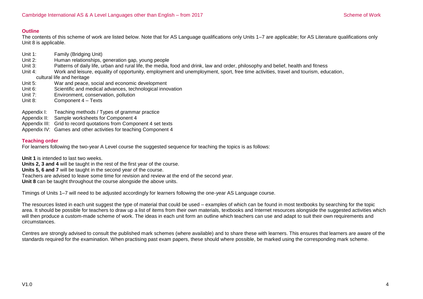#### **Outline**

The contents of this scheme of work are listed below. Note that for AS Language qualifications only Units 1–7 are applicable; for AS Literature qualifications only Unit 8 is applicable.

- Unit 1: Family (Bridging Unit)
- Unit 2: Human relationships, generation gap, young people
- Unit 3: Patterns of daily life, urban and rural life, the media, food and drink, law and order, philosophy and belief, health and fitness
- Unit 4: Work and leisure, equality of opportunity, employment and unemployment, sport, free time activities, travel and tourism, education, cultural life and heritage
- Unit 5: War and peace, social and economic development
- Unit 6: Scientific and medical advances, technological innovation
- Unit 7: Environment, conservation, pollution
- Unit 8: Component 4 Texts
- Appendix I: Teaching methods / Types of grammar practice
- Appendix II: Sample worksheets for Component 4
- Appendix III: Grid to record quotations from Component 4 set texts
- Appendix IV: Games and other activities for teaching Component 4

### **Teaching order**

For learners following the two-year A Level course the suggested sequence for teaching the topics is as follows:

**Unit 1** is intended to last two weeks.

**Units 2, 3 and 4** will be taught in the rest of the first year of the course.

**Units 5, 6 and 7** will be taught in the second year of the course.

Teachers are advised to leave some time for revision and review at the end of the second year.

**Unit 8** can be taught throughout the course alongside the above units.

Timings of Units 1–7 will need to be adjusted accordingly for learners following the one-year AS Language course.

The resources listed in each unit suggest the type of material that could be used – examples of which can be found in most textbooks by searching for the topic area. It should be possible for teachers to draw up a list of items from their own materials, textbooks and Internet resources alongside the suggested activities which will then produce a custom-made scheme of work. The ideas in each unit form an outline which teachers can use and adapt to suit their own requirements and circumstances.

Centres are strongly advised to consult the published mark schemes (where available) and to share these with learners. This ensures that learners are aware of the standards required for the examination. When practising past exam papers, these should where possible, be marked using the corresponding mark scheme.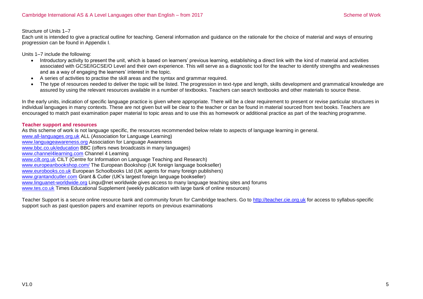Structure of Units 1–7

Each unit is intended to give a practical outline for teaching. General information and guidance on the rationale for the choice of material and ways of ensuring progression can be found in Appendix I.

Units 1–7 include the following:

- Introductory activity to present the unit, which is based on learners' previous learning, establishing a direct link with the kind of material and activities associated with GCSE/IGCSE/O Level and their own experience. This will serve as a diagnostic tool for the teacher to identify strengths and weaknesses and as a way of engaging the learners' interest in the topic.
- A series of activities to practise the skill areas and the syntax and grammar required.
- The type of resources needed to deliver the topic will be listed. The progression in text-type and length, skills development and grammatical knowledge are assured by using the relevant resources available in a number of textbooks. Teachers can search textbooks and other materials to source these.

In the early units, indication of specific language practice is given where appropriate. There will be a clear requirement to present or revise particular structures in individual languages in many contexts. These are not given but will be clear to the teacher or can be found in material sourced from text books. Teachers are encouraged to match past examination paper material to topic areas and to use this as homework or additional practice as part of the teaching programme.

#### **Teacher support and resources**

As this scheme of work is not language specific, the resources recommended below relate to aspects of language learning in general. [www.all-languages.org.uk](http://www.all-languages.org.uk/) ALL (Association for Language Learning) [www.languageawareness.org](http://www.languageawareness.org/) Association for Language Awareness [www.bbc.co.uk/education](http://www.bbc.co.uk/education) BBC (offers news broadcasts in many languages) [www.channel4learning.com](http://www.channel4learning.com/) Channel 4 Learning [www.cilt.org.uk](http://www.cilt.org.uk/) CILT (Centre for Information on Language Teaching and Research) [www.europeanbookshop.com/](http://www.europeanbookshop.com/) The European Bookshop (UK foreign language bookseller) [www.eurobooks.co.uk](http://www.eurobooks.co.uk/) European Schoolbooks Ltd (UK agents for many foreign publishers) [www.grantandcutler.com](http://www.grantandcutler.com/) Grant & Cutler (UK's largest foreign language bookseller) [www.linguanet-worldwide.org](http://www.linguanet-worldwide.org/) Lingu@net worldwide gives access to many language teaching sites and forums [www.tes.co.uk](http://www.tes.co.uk/) Times Educational Supplement (weekly publication with large bank of online resources)

Teacher Support is a secure online resource bank and community forum for Cambridge teachers. Go to [http://teacher.cie.org.uk](http://teacher.cie.org.uk/) for access to syllabus-specific support such as past question papers and examiner reports on previous examinations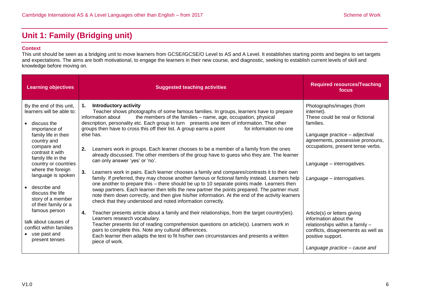# <span id="page-5-0"></span>**Unit 1: Family (Bridging unit)**

#### **Context**

This unit should be seen as a bridging unit to move learners from GCSE/IGCSE/O Level to AS and A Level. It establishes starting points and begins to set targets and expectations. The aims are both motivational, to engage the learners in their new course, and diagnostic, seeking to establish current levels of skill and knowledge before moving on.

| <b>Learning objectives</b>                                                                                                                                                                                                                                                                                                                | <b>Suggested teaching activities</b>                                                                                                                                                                                                                                                                                                                                                                                                                                                                                                                                                                                                                                                                                                                                                                                                                                                                                                                                                                                                                                                                                                                                                                                                                   | <b>Required resources/Teaching</b><br>focus                                                                                                                                                                                                                    |
|-------------------------------------------------------------------------------------------------------------------------------------------------------------------------------------------------------------------------------------------------------------------------------------------------------------------------------------------|--------------------------------------------------------------------------------------------------------------------------------------------------------------------------------------------------------------------------------------------------------------------------------------------------------------------------------------------------------------------------------------------------------------------------------------------------------------------------------------------------------------------------------------------------------------------------------------------------------------------------------------------------------------------------------------------------------------------------------------------------------------------------------------------------------------------------------------------------------------------------------------------------------------------------------------------------------------------------------------------------------------------------------------------------------------------------------------------------------------------------------------------------------------------------------------------------------------------------------------------------------|----------------------------------------------------------------------------------------------------------------------------------------------------------------------------------------------------------------------------------------------------------------|
| By the end of this unit,<br>learners will be able to:<br>discuss the<br>importance of<br>family life in their<br>country and<br>compare and<br>contrast it with<br>family life in the<br>country or countries<br>where the foreign<br>language is spoken<br>describe and<br>discuss the life<br>story of a member<br>of their family or a | <b>Introductory activity</b><br>$\mathbf 1$ .<br>Teacher shows photographs of some famous families. In groups, learners have to prepare<br>the members of the families - name, age, occupation, physical<br>information about<br>description, personality etc. Each group in turn  presents one item of information. The other<br>groups then have to cross this off their list. A group earns a point<br>for information no one<br>else has.<br>2.<br>Learners work in groups. Each learner chooses to be a member of a family from the ones<br>already discussed. The other members of the group have to guess who they are. The learner<br>can only answer 'yes' or 'no'.<br>3.<br>Learners work in pairs. Each learner chooses a family and compares/contrasts it to their own<br>family. If preferred, they may choose another famous or fictional family instead. Learners help<br>one another to prepare this - there should be up to 10 separate points made. Learners then<br>swap partners. Each learner then tells the new partner the points prepared. The partner must<br>note them down correctly, and then give his/her information. At the end of the activity learners<br>check that they understood and noted information correctly. | Photographs/images (from<br>internet).<br>These could be real or fictional<br>families.<br>Language practice - adjectival<br>agreements, possessive pronouns,<br>occupations, present tense verbs.<br>Language - interrogatives.<br>Language - interrogatives. |
| famous person<br>talk about causes of<br>conflict within families<br>use past and<br>present tenses                                                                                                                                                                                                                                       | 4.<br>Teacher presents article about a family and their relationships, from the target country(ies).<br>Learners research vocabulary.<br>Teacher presents list of reading comprehension questions on article(s). Learners work in<br>pairs to complete this. Note any cultural differences.<br>Each learner then adapts the text to fit his/her own circumstances and presents a written<br>piece of work.                                                                                                                                                                                                                                                                                                                                                                                                                                                                                                                                                                                                                                                                                                                                                                                                                                             | Article(s) or letters giving<br>information about the<br>relationships within a family -<br>conflicts, disagreements as well as<br>positive support.<br>Language practice - cause and                                                                          |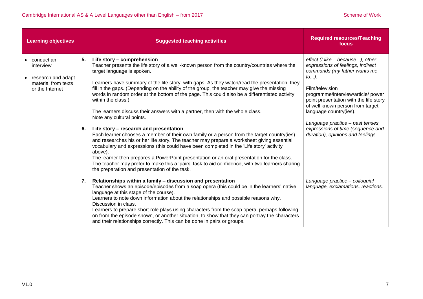| <b>Learning objectives</b>                                                              | <b>Suggested teaching activities</b>                                                                                                                                                                                                                                                                                                                                                                                                                                                                                                                                                                                                                                                                                                                                                                                                                                                                                                                                                                                                                                                                                                                                                                  | <b>Required resources/Teaching</b><br>focus                                                                                                                                                                                                                                                                                                                                                    |
|-----------------------------------------------------------------------------------------|-------------------------------------------------------------------------------------------------------------------------------------------------------------------------------------------------------------------------------------------------------------------------------------------------------------------------------------------------------------------------------------------------------------------------------------------------------------------------------------------------------------------------------------------------------------------------------------------------------------------------------------------------------------------------------------------------------------------------------------------------------------------------------------------------------------------------------------------------------------------------------------------------------------------------------------------------------------------------------------------------------------------------------------------------------------------------------------------------------------------------------------------------------------------------------------------------------|------------------------------------------------------------------------------------------------------------------------------------------------------------------------------------------------------------------------------------------------------------------------------------------------------------------------------------------------------------------------------------------------|
| conduct an<br>interview<br>research and adapt<br>material from texts<br>or the Internet | 5.<br>Life story - comprehension<br>Teacher presents the life story of a well-known person from the country/countries where the<br>target language is spoken.<br>Learners have summary of the life story, with gaps. As they watch/read the presentation, they<br>fill in the gaps. (Depending on the ability of the group, the teacher may give the missing<br>words in random order at the bottom of the page. This could also be a differentiated activity<br>within the class.)<br>The learners discuss their answers with a partner, then with the whole class.<br>Note any cultural points.<br>6.<br>Life story - research and presentation<br>Each learner chooses a member of their own family or a person from the target country(ies)<br>and researches his or her life story. The teacher may prepare a worksheet giving essential<br>vocabulary and expressions (this could have been completed in the 'Life story' activity<br>above).<br>The learner then prepares a PowerPoint presentation or an oral presentation for the class.<br>The teacher may prefer to make this a 'pairs' task to aid confidence, with two learners sharing<br>the preparation and presentation of the task. | effect (I like because), other<br>expressions of feelings, indirect<br>commands (my father wants me<br>$to$ ).<br>Film/television<br>programme/interview/article/ power<br>point presentation with the life story<br>of well known person from target-<br>language country(ies).<br>Language practice - past tenses,<br>expressions of time (sequence and<br>duration), opinions and feelings. |
|                                                                                         | 7.<br>Relationships within a family - discussion and presentation<br>Teacher shows an episode/episodes from a soap opera (this could be in the learners' native<br>language at this stage of the course).<br>Learners to note down information about the relationships and possible reasons why.<br>Discussion in class.<br>Learners to prepare short role plays using characters from the soap opera, perhaps following<br>on from the episode shown, or another situation, to show that they can portray the characters<br>and their relationships correctly. This can be done in pairs or groups.                                                                                                                                                                                                                                                                                                                                                                                                                                                                                                                                                                                                  | Language practice - colloquial<br>language, exclamations, reactions.                                                                                                                                                                                                                                                                                                                           |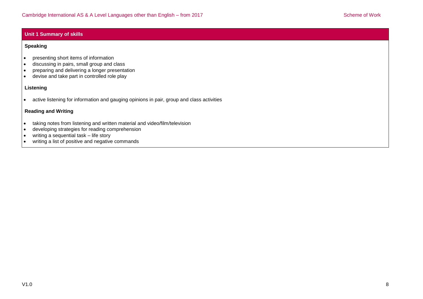#### **Unit 1 Summary of skills**

#### **Speaking**

- presenting short items of information
- discussing in pairs, small group and class
- preparing and delivering a longer presentation
- devise and take part in controlled role play

#### **Listening**

active listening for information and gauging opinions in pair, group and class activities

### **Reading and Writing**

- taking notes from listening and written material and video/film/television
- developing strategies for reading comprehension
- writing a sequential task life story
- writing a list of positive and negative commands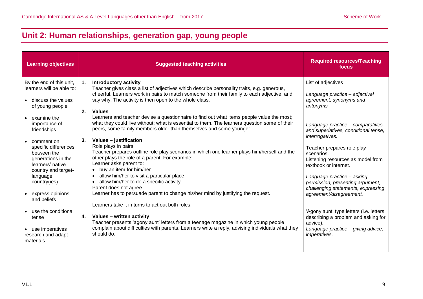# <span id="page-8-0"></span>**Unit 2: Human relationships, generation gap, young people**

| <b>Learning objectives</b>                                                                                                                                                                                                                                                                                                                                                                                      | <b>Suggested teaching activities</b>                                                                                                                                                                                                                                                                                                                                                                                                                                                                                                                                                                                                                                                                                                                                                                                                                                                                                                                                                                                                                                                                                                                                                                                                                                                                                                                                | <b>Required resources/Teaching</b><br>focus                                                                                                                                                                                                                                                                                                                                                                                                                                                                                                                                                 |
|-----------------------------------------------------------------------------------------------------------------------------------------------------------------------------------------------------------------------------------------------------------------------------------------------------------------------------------------------------------------------------------------------------------------|---------------------------------------------------------------------------------------------------------------------------------------------------------------------------------------------------------------------------------------------------------------------------------------------------------------------------------------------------------------------------------------------------------------------------------------------------------------------------------------------------------------------------------------------------------------------------------------------------------------------------------------------------------------------------------------------------------------------------------------------------------------------------------------------------------------------------------------------------------------------------------------------------------------------------------------------------------------------------------------------------------------------------------------------------------------------------------------------------------------------------------------------------------------------------------------------------------------------------------------------------------------------------------------------------------------------------------------------------------------------|---------------------------------------------------------------------------------------------------------------------------------------------------------------------------------------------------------------------------------------------------------------------------------------------------------------------------------------------------------------------------------------------------------------------------------------------------------------------------------------------------------------------------------------------------------------------------------------------|
| By the end of this unit,<br>learners will be able to:<br>• discuss the values<br>of young people<br>examine the<br>importance of<br>friendships<br>comment on<br>specific differences<br>between the<br>generations in the<br>learners' native<br>country and target-<br>language<br>country(ies)<br>express opinions<br>and beliefs<br>use the conditional<br>tense<br>• use imperatives<br>research and adapt | <b>Introductory activity</b><br>$\mathbf{1}$ .<br>Teacher gives class a list of adjectives which describe personality traits, e.g. generous,<br>cheerful. Learners work in pairs to match someone from their family to each adjective, and<br>say why. The activity is then open to the whole class.<br>2.<br><b>Values</b><br>Learners and teacher devise a questionnaire to find out what items people value the most;<br>what they could live without; what is essential to them. The learners question some of their<br>peers, some family members older than themselves and some younger.<br>3.<br>Values - justification<br>Role plays in pairs.<br>Teacher prepares outline role play scenarios in which one learner plays him/herself and the<br>other plays the role of a parent. For example:<br>Learner asks parent to:<br>buy an item for him/her<br>allow him/her to visit a particular place<br>allow him/her to do a specific activity<br>Parent does not agree.<br>Learner has to persuade parent to change his/her mind by justifying the request.<br>Learners take it in turns to act out both roles.<br>Values - written activity<br>4.<br>Teacher presents 'agony aunt' letters from a teenage magazine in which young people<br>complain about difficulties with parents. Learners write a reply, advising individuals what they<br>should do. | List of adjectives<br>Language practice - adjectival<br>agreement, synonyms and<br>antonyms<br>Language practice - comparatives<br>and superlatives, conditional tense,<br>interrogatives.<br>Teacher prepares role play<br>scenarios.<br>Listening resources as model from<br>textbook or internet.<br>Language practice - asking<br>permission, presenting argument,<br>challenging statements, expressing<br>agreement/disagreement.<br>'Agony aunt' type letters (i.e. letters<br>describing a problem and asking for<br>advice).<br>Language practice - giving advice,<br>imperatives. |
| materials                                                                                                                                                                                                                                                                                                                                                                                                       |                                                                                                                                                                                                                                                                                                                                                                                                                                                                                                                                                                                                                                                                                                                                                                                                                                                                                                                                                                                                                                                                                                                                                                                                                                                                                                                                                                     |                                                                                                                                                                                                                                                                                                                                                                                                                                                                                                                                                                                             |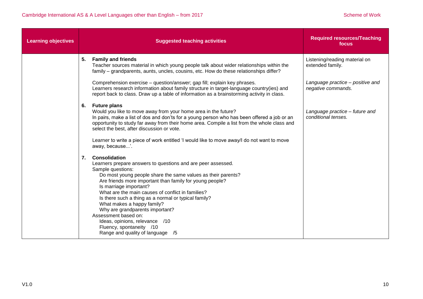| <b>Learning objectives</b> |    | <b>Suggested teaching activities</b>                                                                                                                                                                                                                                                                                                                                                                                                                                                                                                                                    | <b>Required resources/Teaching</b><br>focus            |
|----------------------------|----|-------------------------------------------------------------------------------------------------------------------------------------------------------------------------------------------------------------------------------------------------------------------------------------------------------------------------------------------------------------------------------------------------------------------------------------------------------------------------------------------------------------------------------------------------------------------------|--------------------------------------------------------|
|                            | 5. | <b>Family and friends</b><br>Teacher sources material in which young people talk about wider relationships within the<br>family - grandparents, aunts, uncles, cousins, etc. How do these relationships differ?                                                                                                                                                                                                                                                                                                                                                         | Listening/reading material on<br>extended family.      |
|                            |    | Comprehension exercise - question/answer; gap fill; explain key phrases.<br>Learners research information about family structure in target-language country(ies) and<br>report back to class. Draw up a table of information as a brainstorming activity in class.                                                                                                                                                                                                                                                                                                      | Language practice - positive and<br>negative commands. |
|                            | 6. | <b>Future plans</b><br>Would you like to move away from your home area in the future?<br>In pairs, make a list of dos and don'ts for a young person who has been offered a job or an<br>opportunity to study far away from their home area. Compile a list from the whole class and<br>select the best, after discussion or vote.                                                                                                                                                                                                                                       | Language practice - future and<br>conditional tenses.  |
|                            |    | Learner to write a piece of work entitled 'I would like to move away/I do not want to move<br>away, because'.                                                                                                                                                                                                                                                                                                                                                                                                                                                           |                                                        |
|                            | 7. | <b>Consolidation</b><br>Learners prepare answers to questions and are peer assessed.<br>Sample questions:<br>Do most young people share the same values as their parents?<br>Are friends more important than family for young people?<br>Is marriage important?<br>What are the main causes of conflict in families?<br>Is there such a thing as a normal or typical family?<br>What makes a happy family?<br>Why are grandparents important?<br>Assessment based on:<br>Ideas, opinions, relevance /10<br>Fluency, spontaneity /10<br>Range and quality of language /5 |                                                        |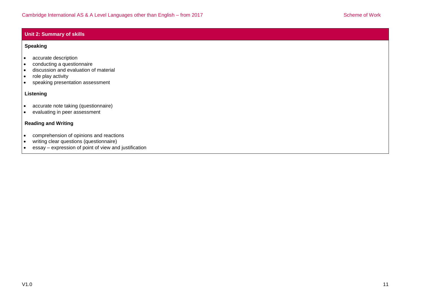### **Unit 2: Summary of skills**

#### **Speaking**

- accurate description
- conducting a questionnaire
- discussion and evaluation of material
- role play activity
- speaking presentation assessment

### **Listening**

- accurate note taking (questionnaire)
- evaluating in peer assessment

## **Reading and Writing**

- comprehension of opinions and reactions
- writing clear questions (questionnaire)
- essay expression of point of view and justification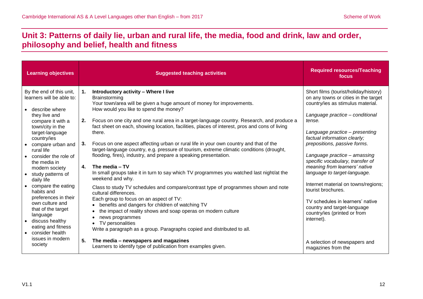# <span id="page-11-0"></span>**Unit 3: Patterns of daily lie, urban and rural life, the media, food and drink, law and order, philosophy and belief, health and fitness**

| <b>Learning objectives</b>                                                                                                                                                                                                                                                                                                                                                                                                                                                                           | <b>Suggested teaching activities</b>                                                                                                                                                                                                                                                                                                                                                                                                                                                                                                                                                                                                                                                                                                                                                                                                                                                                                                                                                                                                                                                                                                                                                                                    | <b>Required resources/Teaching</b><br>focus                                                                                                                                                                                                                                                                                                                                                                                                                                                                                                                                          |
|------------------------------------------------------------------------------------------------------------------------------------------------------------------------------------------------------------------------------------------------------------------------------------------------------------------------------------------------------------------------------------------------------------------------------------------------------------------------------------------------------|-------------------------------------------------------------------------------------------------------------------------------------------------------------------------------------------------------------------------------------------------------------------------------------------------------------------------------------------------------------------------------------------------------------------------------------------------------------------------------------------------------------------------------------------------------------------------------------------------------------------------------------------------------------------------------------------------------------------------------------------------------------------------------------------------------------------------------------------------------------------------------------------------------------------------------------------------------------------------------------------------------------------------------------------------------------------------------------------------------------------------------------------------------------------------------------------------------------------------|--------------------------------------------------------------------------------------------------------------------------------------------------------------------------------------------------------------------------------------------------------------------------------------------------------------------------------------------------------------------------------------------------------------------------------------------------------------------------------------------------------------------------------------------------------------------------------------|
| By the end of this unit,<br>learners will be able to:<br>describe where<br>they live and<br>compare it with a<br>town/city in the<br>target-language<br>country/ies<br>compare urban and<br>rural life<br>consider the role of<br>the media in<br>modern society<br>study patterns of<br>daily life<br>compare the eating<br>habits and<br>preferences in their<br>own culture and<br>that of the target<br>language<br>discuss healthy<br>eating and fitness<br>consider health<br>issues in modern | Introductory activity - Where I live<br>1.<br>Brainstorming<br>Your town/area will be given a huge amount of money for improvements.<br>How would you like to spend the money?<br>2.<br>Focus on one city and one rural area in a target-language country. Research, and produce a<br>fact sheet on each, showing location, facilities, places of interest, pros and cons of living<br>there.<br>Focus on one aspect affecting urban or rural life in your own country and that of the<br>3.<br>target-language country, e.g. pressure of tourism, extreme climatic conditions (drought,<br>flooding, fires), industry, and prepare a speaking presentation.<br>4.<br>The media - TV<br>In small groups take it in turn to say which TV programmes you watched last night/at the<br>weekend and why.<br>Class to study TV schedules and compare/contrast type of programmes shown and note<br>cultural differences.<br>Each group to focus on an aspect of TV:<br>benefits and dangers for children of watching TV<br>$\bullet$<br>the impact of reality shows and soap operas on modern culture<br>news programmes<br>٠<br>TV personalities<br>Write a paragraph as a group. Paragraphs copied and distributed to all. | Short films (tourist/holiday/history)<br>on any towns or cities in the target<br>country/ies as stimulus material.<br>Language practice - conditional<br>tense.<br>Language practice - presenting<br>factual information clearly;<br>prepositions, passive forms.<br>Language practice - amassing<br>specific vocabulary, transfer of<br>meaning from learners' native<br>language to target-language.<br>Internet material on towns/regions;<br>tourist brochures.<br>TV schedules in learners' native<br>country and target-language<br>country/ies (printed or from<br>internet). |
| society                                                                                                                                                                                                                                                                                                                                                                                                                                                                                              | 5.<br>The media - newspapers and magazines<br>Learners to identify type of publication from examples given.                                                                                                                                                                                                                                                                                                                                                                                                                                                                                                                                                                                                                                                                                                                                                                                                                                                                                                                                                                                                                                                                                                             | A selection of newspapers and<br>magazines from the                                                                                                                                                                                                                                                                                                                                                                                                                                                                                                                                  |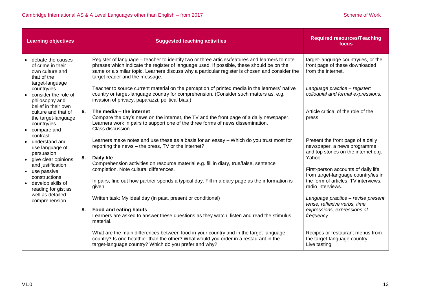|                        | <b>Learning objectives</b>                                                                                                             |    | <b>Suggested teaching activities</b>                                                                                                                                                                                                                                                                                            | <b>Required resources/Teaching</b><br>focus                                                                                             |
|------------------------|----------------------------------------------------------------------------------------------------------------------------------------|----|---------------------------------------------------------------------------------------------------------------------------------------------------------------------------------------------------------------------------------------------------------------------------------------------------------------------------------|-----------------------------------------------------------------------------------------------------------------------------------------|
| $\bullet$              | debate the causes<br>of crime in their<br>own culture and<br>that of the<br>target-language                                            |    | Register of language – teacher to identify two or three articles/features and learners to note<br>phrases which indicate the register of language used. If possible, these should be on the<br>same or a similar topic. Learners discuss why a particular register is chosen and consider the<br>target reader and the message. | target-language country/ies, or the<br>front page of these downloaded<br>from the internet.                                             |
|                        | country/ies<br>consider the role of<br>philosophy and<br>belief in their own                                                           |    | Teacher to source current material on the perception of printed media in the learners' native<br>country or target-language country for comprehension. (Consider such matters as, e.g.<br>invasion of privacy, paparazzi, political bias.)                                                                                      | Language practice - register;<br>colloquial and formal expressions.                                                                     |
| $\bullet$              | culture and that of<br>the target-language<br>country/ies<br>compare and                                                               | 6. | The media – the internet<br>Compare the day's news on the internet, the TV and the front page of a daily newspaper.<br>Learners work in pairs to support one of the three forms of news dissemination.<br>Class discussion.                                                                                                     | Article critical of the role of the<br>press.                                                                                           |
| $\bullet$<br>$\bullet$ | contrast<br>understand and<br>use language of<br>persuasion<br>give clear opinions                                                     | 8. | Learners make notes and use these as a basis for an essay - Which do you trust most for<br>reporting the news - the press, TV or the internet?<br><b>Daily life</b>                                                                                                                                                             | Present the front page of a daily<br>newspaper, a news programme<br>and top stories on the internet e.g.<br>Yahoo.                      |
|                        | and justification<br>• use passive<br>constructions<br>• develop skills of<br>reading for gist as<br>well as detailed<br>comprehension |    | Comprehension activities on resource material e.g. fill in diary, true/false, sentence<br>completion. Note cultural differences.<br>In pairs, find out how partner spends a typical day. Fill in a diary page as the information is<br>given.                                                                                   | First-person accounts of daily life<br>from target-language country/ies in<br>the form of articles, TV interviews,<br>radio interviews. |
|                        |                                                                                                                                        |    | Written task: My ideal day (in past, present or conditional)                                                                                                                                                                                                                                                                    | Language practice - revise present<br>tense, reflexive verbs, time                                                                      |
|                        |                                                                                                                                        | 8. | <b>Food and eating habits</b><br>Learners are asked to answer these questions as they watch, listen and read the stimulus<br>material.                                                                                                                                                                                          | expressions, expressions of<br>frequency.                                                                                               |
|                        |                                                                                                                                        |    | What are the main differences between food in your country and in the target-language<br>country? Is one healthier than the other? What would you order in a restaurant in the<br>target-language country? Which do you prefer and why?                                                                                         | Recipes or restaurant menus from<br>the target-language country.<br>Live tasting!                                                       |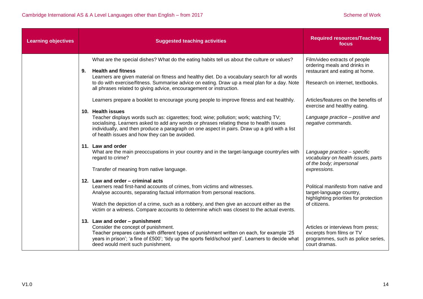| <b>Learning objectives</b> | <b>Suggested teaching activities</b>                                                                                                                                                                                                                                                                                                                                                                                                                  | <b>Required resources/Teaching</b><br>focus                                                                                         |
|----------------------------|-------------------------------------------------------------------------------------------------------------------------------------------------------------------------------------------------------------------------------------------------------------------------------------------------------------------------------------------------------------------------------------------------------------------------------------------------------|-------------------------------------------------------------------------------------------------------------------------------------|
|                            | What are the special dishes? What do the eating habits tell us about the culture or values?<br><b>Health and fitness</b><br>9.<br>Learners are given material on fitness and healthy diet. Do a vocabulary search for all words<br>to do with exercise/fitness. Summarise advice on eating. Draw up a meal plan for a day. Note<br>all phrases related to giving advice, encouragement or instruction.                                                | Film/video extracts of people<br>ordering meals and drinks in<br>restaurant and eating at home.<br>Research on internet, textbooks. |
|                            | Learners prepare a booklet to encourage young people to improve fitness and eat healthily.<br>10. Health issues<br>Teacher displays words such as: cigarettes; food; wine; pollution; work; watching TV;<br>socialising. Learners asked to add any words or phrases relating these to health issues<br>individually, and then produce a paragraph on one aspect in pairs. Draw up a grid with a list<br>of health issues and how they can be avoided. | Articles/features on the benefits of<br>exercise and healthy eating.<br>Language practice - positive and<br>negative commands.      |
|                            | 11. Law and order<br>What are the main preoccupations in your country and in the target-language country/ies with<br>regard to crime?<br>Transfer of meaning from native language.                                                                                                                                                                                                                                                                    | Language practice - specific<br>vocabulary on health issues, parts<br>of the body; impersonal<br>expressions.                       |
|                            | 12. Law and order - criminal acts<br>Learners read first-hand accounts of crimes, from victims and witnesses.<br>Analyse accounts, separating factual information from personal reactions.<br>Watch the depiction of a crime, such as a robbery, and then give an account either as the<br>victim or a witness. Compare accounts to determine which was closest to the actual events.                                                                 | Political manifesto from native and<br>target-language country,<br>highlighting priorities for protection<br>of citizens.           |
|                            | 13. Law and order - punishment<br>Consider the concept of punishment.<br>Teacher prepares cards with different types of punishment written on each, for example '25<br>years in prison'; 'a fine of £500'; 'tidy up the sports field/school yard'. Learners to decide what<br>deed would merit such punishment.                                                                                                                                       | Articles or interviews from press;<br>excerpts from films or TV<br>programmes, such as police series,<br>court dramas.              |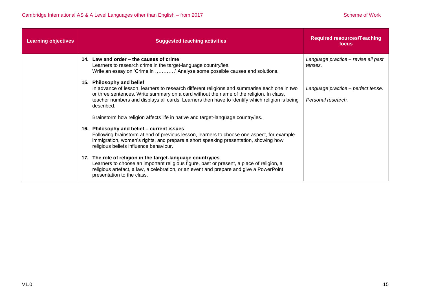| <b>Learning objectives</b> | <b>Suggested teaching activities</b>                                                                                                                                                                                                                                                                                                 | <b>Required resources/Teaching</b><br>focus              |
|----------------------------|--------------------------------------------------------------------------------------------------------------------------------------------------------------------------------------------------------------------------------------------------------------------------------------------------------------------------------------|----------------------------------------------------------|
|                            | 14. Law and order – the causes of crime<br>Learners to research crime in the target-language country/ies.<br>Write an essay on 'Crime in ' Analyse some possible causes and solutions.                                                                                                                                               | Language practice - revise all past<br>tenses.           |
|                            | 15. Philosophy and belief<br>In advance of lesson, learners to research different religions and summarise each one in two<br>or three sentences. Write summary on a card without the name of the religion. In class,<br>teacher numbers and displays all cards. Learners then have to identify which religion is being<br>described. | Language practice - perfect tense.<br>Personal research. |
|                            | Brainstorm how religion affects life in native and target-language country/ies.                                                                                                                                                                                                                                                      |                                                          |
|                            | 16. Philosophy and belief - current issues<br>Following brainstorm at end of previous lesson, learners to choose one aspect, for example<br>immigration, women's rights, and prepare a short speaking presentation, showing how<br>religious beliefs influence behaviour.                                                            |                                                          |
|                            | 17. The role of religion in the target-language country/ies<br>Learners to choose an important religious figure, past or present, a place of religion, a<br>religious artefact, a law, a celebration, or an event and prepare and give a PowerPoint<br>presentation to the class.                                                    |                                                          |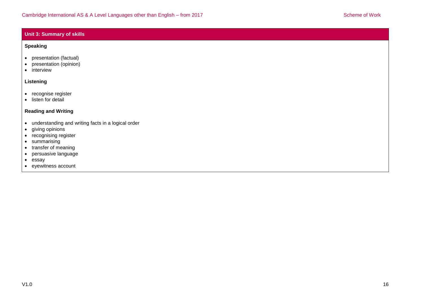### **Unit 3: Summary of skills**

#### **Speaking**

- presentation (factual)
- presentation (opinion)
- interview

### **Listening**

- recognise register
- $\bullet$  listen for detail

### **Reading and Writing**

- understanding and writing facts in a logical order
- giving opinions
- recognising register
- summarising
- transfer of meaning
- persuasive language
- essay
- eyewitness account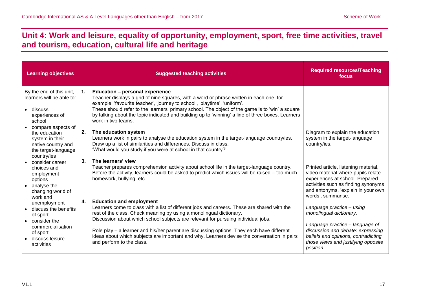# <span id="page-16-0"></span>**Unit 4: Work and leisure, equality of opportunity, employment, sport, free time activities, travel and tourism, education, cultural life and heritage**

| <b>Learning objectives</b>                                                                                                                                  | <b>Suggested teaching activities</b>                                                                                                                                                                                                                                                                                                                                                                                                                                                                                      | <b>Required resources/Teaching</b><br>focus                                                                                                                                                                                                   |
|-------------------------------------------------------------------------------------------------------------------------------------------------------------|---------------------------------------------------------------------------------------------------------------------------------------------------------------------------------------------------------------------------------------------------------------------------------------------------------------------------------------------------------------------------------------------------------------------------------------------------------------------------------------------------------------------------|-----------------------------------------------------------------------------------------------------------------------------------------------------------------------------------------------------------------------------------------------|
| By the end of this unit,<br>learners will be able to:<br>discuss<br>experiences of<br>school                                                                | <b>Education - personal experience</b><br>$\mathbf{1}$ .<br>Teacher displays a grid of nine squares, with a word or phrase written in each one, for<br>example, 'favourite teacher', 'journey to school', 'playtime', 'uniform'.<br>These should refer to the learners' primary school. The object of the game is to 'win' a square<br>by talking about the topic indicated and building up to 'winning' a line of three boxes. Learners<br>work in two teams.                                                            |                                                                                                                                                                                                                                               |
| compare aspects of<br>the education<br>system in their<br>native country and<br>the target-language<br>country/ies                                          | 2.<br>The education system<br>Learners work in pairs to analyse the education system in the target-language country/ies.<br>Draw up a list of similarities and differences. Discuss in class.<br>"What would you study if you were at school in that country?"                                                                                                                                                                                                                                                            | Diagram to explain the education<br>system in the target-language<br>country/ies.                                                                                                                                                             |
| consider career<br>choices and<br>employment<br>options<br>analyse the<br>$\bullet$<br>changing world of                                                    | 3.<br>The learners' view<br>Teacher prepares comprehension activity about school life in the target-language country.<br>Before the activity, learners could be asked to predict which issues will be raised – too much<br>homework, bullying, etc.                                                                                                                                                                                                                                                                       | Printed article, listening material,<br>video material where pupils relate<br>experiences at school. Prepared<br>activities such as finding synonyms<br>and antonyms, 'explain in your own                                                    |
| work and<br>unemployment<br>discuss the benefits<br>of sport<br>consider the<br>$\bullet$<br>commercialisation<br>of sport<br>discuss leisure<br>activities | <b>Education and employment</b><br>4.<br>Learners come to class with a list of different jobs and careers. These are shared with the<br>rest of the class. Check meaning by using a monolingual dictionary.<br>Discussion about which school subjects are relevant for pursuing individual jobs.<br>Role play - a learner and his/her parent are discussing options. They each have different<br>ideas about which subjects are important and why. Learners devise the conversation in pairs<br>and perform to the class. | words', summarise.<br>Language practice - using<br>monolingual dictionary.<br>Language practice - language of<br>discussion and debate: expressing<br>beliefs and opinions, contradicting<br>those views and justifying opposite<br>position. |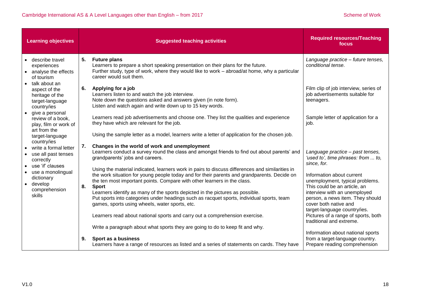|                        | <b>Learning objectives</b>                                                                       |    | <b>Suggested teaching activities</b>                                                                                                                                                                                                                                                                                                                                        | <b>Required resources/Teaching</b><br>focus                                                                                      |
|------------------------|--------------------------------------------------------------------------------------------------|----|-----------------------------------------------------------------------------------------------------------------------------------------------------------------------------------------------------------------------------------------------------------------------------------------------------------------------------------------------------------------------------|----------------------------------------------------------------------------------------------------------------------------------|
| $\bullet$              | describe travel<br>experiences<br>analyse the effects<br>of tourism                              | 5. | <b>Future plans</b><br>Learners to prepare a short speaking presentation on their plans for the future.<br>Further study, type of work, where they would like to work – abroad/at home, why a particular<br>career would suit them.                                                                                                                                         | Language practice - future tenses,<br>conditional tense.                                                                         |
|                        | talk about an<br>aspect of the<br>heritage of the<br>target-language<br>country/ies              | 6. | Applying for a job<br>Learners listen to and watch the job interview.<br>Note down the questions asked and answers given (in note form).<br>Listen and watch again and write down up to 15 key words.                                                                                                                                                                       | Film clip of job interview, series of<br>job advertisements suitable for<br>teenagers.                                           |
| $\bullet$              | give a personal<br>review of a book,<br>play, film or work of<br>art from the<br>target-language |    | Learners read job advertisements and choose one. They list the qualities and experience<br>they have which are relevant for the job.<br>Using the sample letter as a model, learners write a letter of application for the chosen job.                                                                                                                                      | Sample letter of application for a<br>job.                                                                                       |
|                        | country/ies<br>write a formal letter<br>use all past tenses<br>correctly                         | 7. | Changes in the world of work and unemployment<br>Learners conduct a survey round the class and amongst friends to find out about parents' and<br>grandparents' jobs and careers.                                                                                                                                                                                            | Language practice - past tenses,<br>'used to', time phrases: from  to,<br>since, for.                                            |
| $\bullet$<br>$\bullet$ | use 'if' clauses<br>use a monolingual<br>dictionary<br>develop<br>comprehension                  | 8. | Using the material indicated, learners work in pairs to discuss differences and similarities in<br>the work situation for young people today and for their parents and grandparents. Decide on<br>the ten most important points. Compare with other learners in the class.<br><b>Sport</b><br>Learners identify as many of the sports depicted in the pictures as possible. | Information about current<br>unemployment, typical problems.<br>This could be an article, an<br>interview with an unemployed     |
|                        | skills                                                                                           |    | Put sports into categories under headings such as racquet sports, individual sports, team<br>games, sports using wheels, water sports, etc.<br>Learners read about national sports and carry out a comprehension exercise.                                                                                                                                                  | person, a news item. They should<br>cover both native and<br>target-language country/ies.<br>Pictures of a range of sports, both |
|                        |                                                                                                  | 9. | Write a paragraph about what sports they are going to do to keep fit and why.<br>Sport as a business                                                                                                                                                                                                                                                                        | traditional and extreme.<br>Information about national sports<br>from a target-language country.                                 |
|                        |                                                                                                  |    | Learners have a range of resources as listed and a series of statements on cards. They have                                                                                                                                                                                                                                                                                 | Prepare reading comprehension                                                                                                    |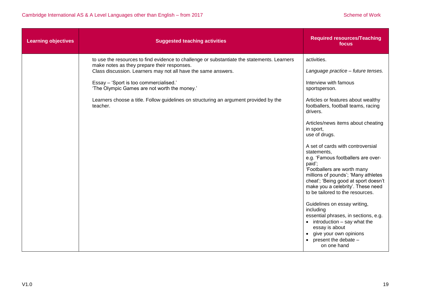| <b>Learning objectives</b> | <b>Suggested teaching activities</b>                                                                                                       | <b>Required resources/Teaching</b><br>focus                                                                                                                                                                                                                                             |
|----------------------------|--------------------------------------------------------------------------------------------------------------------------------------------|-----------------------------------------------------------------------------------------------------------------------------------------------------------------------------------------------------------------------------------------------------------------------------------------|
|                            | to use the resources to find evidence to challenge or substantiate the statements. Learners<br>make notes as they prepare their responses. | activities.                                                                                                                                                                                                                                                                             |
|                            | Class discussion. Learners may not all have the same answers.                                                                              | Language practice - future tenses.                                                                                                                                                                                                                                                      |
|                            | Essay - 'Sport is too commercialised.'<br>'The Olympic Games are not worth the money.'                                                     | Interview with famous<br>sportsperson.                                                                                                                                                                                                                                                  |
|                            | Learners choose a title. Follow guidelines on structuring an argument provided by the<br>teacher.                                          | Articles or features about wealthy<br>footballers, football teams, racing<br>drivers.                                                                                                                                                                                                   |
|                            |                                                                                                                                            | Articles/news items about cheating<br>in sport,<br>use of drugs.                                                                                                                                                                                                                        |
|                            |                                                                                                                                            | A set of cards with controversial<br>statements,<br>e.g. 'Famous footballers are over-<br>paid';<br>'Footballers are worth many<br>millions of pounds'; 'Many athletes<br>cheat'; 'Being good at sport doesn't<br>make you a celebrity'. These need<br>to be tailored to the resources. |
|                            |                                                                                                                                            | Guidelines on essay writing,<br>including<br>essential phrases, in sections, e.g.<br>$\bullet$ introduction $-$ say what the<br>essay is about<br>give your own opinions<br>present the debate -<br>on one hand                                                                         |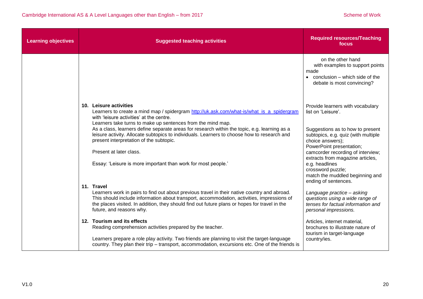| <b>Learning objectives</b> | <b>Suggested teaching activities</b>                                                                                                                                                                                                                                                                                                                                                                                                                                                                                                                                 | <b>Required resources/Teaching</b><br>focus                                                                                                                                                                                                                                                                                                                  |
|----------------------------|----------------------------------------------------------------------------------------------------------------------------------------------------------------------------------------------------------------------------------------------------------------------------------------------------------------------------------------------------------------------------------------------------------------------------------------------------------------------------------------------------------------------------------------------------------------------|--------------------------------------------------------------------------------------------------------------------------------------------------------------------------------------------------------------------------------------------------------------------------------------------------------------------------------------------------------------|
|                            |                                                                                                                                                                                                                                                                                                                                                                                                                                                                                                                                                                      | on the other hand<br>with examples to support points<br>made<br>conclusion - which side of the<br>$\bullet$<br>debate is most convincing?                                                                                                                                                                                                                    |
|                            | 10. Leisure activities<br>Learners to create a mind map / spidergram http://uk.ask.com/what-is/what_is_a_spidergram<br>with 'leisure activities' at the centre.<br>Learners take turns to make up sentences from the mind map.<br>As a class, learners define separate areas for research within the topic, e.g. learning as a<br>leisure activity. Allocate subtopics to individuals. Learners to choose how to research and<br>present interpretation of the subtopic.<br>Present at later class.<br>Essay: 'Leisure is more important than work for most people.' | Provide learners with vocabulary<br>list on 'Leisure'.<br>Suggestions as to how to present<br>subtopics, e.g. quiz (with multiple<br>choice answers);<br>PowerPoint presentation;<br>camcorder recording of interview;<br>extracts from magazine articles,<br>e.g. headlines<br>crossword puzzle;<br>match the muddled beginning and<br>ending of sentences. |
|                            | 11. Travel<br>Learners work in pairs to find out about previous travel in their native country and abroad.<br>This should include information about transport, accommodation, activities, impressions of<br>the places visited. In addition, they should find out future plans or hopes for travel in the<br>future, and reasons why.                                                                                                                                                                                                                                | Language practice - asking<br>questions using a wide range of<br>tenses for factual information and<br>personal impressions.                                                                                                                                                                                                                                 |
|                            | 12. Tourism and its effects<br>Reading comprehension activities prepared by the teacher.<br>Learners prepare a role play activity. Two friends are planning to visit the target-language<br>country. They plan their trip - transport, accommodation, excursions etc. One of the friends is                                                                                                                                                                                                                                                                          | Articles, internet material,<br>brochures to illustrate nature of<br>tourism in target-language<br>country/ies.                                                                                                                                                                                                                                              |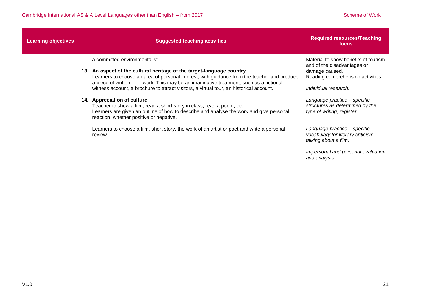| <b>Learning objectives</b> | <b>Suggested teaching activities</b>                                                                                                                                                                                                                                                                                                                                                                                                                                                                                                                                                                                                     | <b>Required resources/Teaching</b><br>focus                                                                                                                                                                                                         |
|----------------------------|------------------------------------------------------------------------------------------------------------------------------------------------------------------------------------------------------------------------------------------------------------------------------------------------------------------------------------------------------------------------------------------------------------------------------------------------------------------------------------------------------------------------------------------------------------------------------------------------------------------------------------------|-----------------------------------------------------------------------------------------------------------------------------------------------------------------------------------------------------------------------------------------------------|
|                            | a committed environmentalist.<br>13. An aspect of the cultural heritage of the target-language country<br>Learners to choose an area of personal interest, with guidance from the teacher and produce<br>work. This may be an imaginative treatment, such as a fictional<br>a piece of written<br>witness account, a brochure to attract visitors, a virtual tour, an historical account.<br>14. Appreciation of culture<br>Teacher to show a film, read a short story in class, read a poem, etc.<br>Learners are given an outline of how to describe and analyse the work and give personal<br>reaction, whether positive or negative. | Material to show benefits of tourism<br>and of the disadvantages or<br>damage caused.<br>Reading comprehension activities.<br>Individual research.<br>Language practice - specific<br>structures as determined by the<br>type of writing; register. |
|                            | Learners to choose a film, short story, the work of an artist or poet and write a personal<br>review.                                                                                                                                                                                                                                                                                                                                                                                                                                                                                                                                    | Language practice - specific<br>vocabulary for literary criticism,<br>talking about a film.<br>Impersonal and personal evaluation<br>and analysis.                                                                                                  |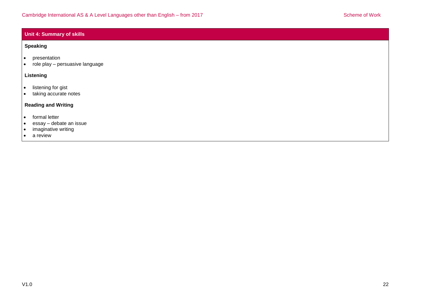### **Unit 4: Summary of skills**

#### **Speaking**

- presentation
- role play persuasive language

#### **Listening**

- listening for gist
- taking accurate notes

## **Reading and Writing**

- formal letter
- essay debate an issue
- imaginative writing
- a review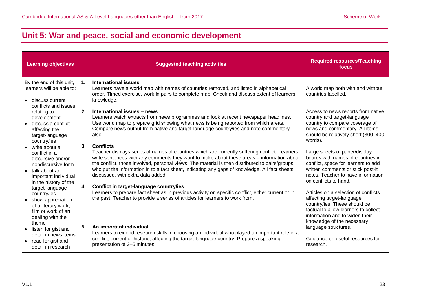# <span id="page-22-0"></span>**Unit 5: War and peace, social and economic development**

| <b>Learning objectives</b>                                                                                                                     | <b>Suggested teaching activities</b>                                                                                                                                                                                                                                                                                                                                                                                                                          | <b>Required resources/Teaching</b><br>focus                                                                                                                                                                   |
|------------------------------------------------------------------------------------------------------------------------------------------------|---------------------------------------------------------------------------------------------------------------------------------------------------------------------------------------------------------------------------------------------------------------------------------------------------------------------------------------------------------------------------------------------------------------------------------------------------------------|---------------------------------------------------------------------------------------------------------------------------------------------------------------------------------------------------------------|
| By the end of this unit,<br>learners will be able to:                                                                                          | International issues<br>$\mathbf 1$ .<br>Learners have a world map with names of countries removed, and listed in alphabetical<br>order. Timed exercise, work in pairs to complete map. Check and discuss extent of learners'                                                                                                                                                                                                                                 | A world map both with and without<br>countries labelled.                                                                                                                                                      |
| discuss current<br>conflicts and issues<br>relating to<br>development<br>discuss a conflict<br>affecting the<br>target-language<br>country/ies | knowledge.<br>2.<br>International issues - news<br>Learners watch extracts from news programmes and look at recent newspaper headlines.<br>Use world map to prepare grid showing what news is being reported from which areas.<br>Compare news output from native and target-language country/ies and note commentary<br>also.                                                                                                                                | Access to news reports from native<br>country and target-language<br>country to compare coverage of<br>news and commentary. All items<br>should be relatively short (300-400<br>words).                       |
| write about a<br>conflict in a<br>discursive and/or<br>nondiscursive form<br>talk about an<br>important individual<br>in the history of the    | <b>Conflicts</b><br>3.<br>Teacher displays series of names of countries which are currently suffering conflict. Learners<br>write sentences with any comments they want to make about these areas - information about<br>the conflict, those involved, personal views. The material is then distributed to pairs/groups<br>who put the information in to a fact sheet, indicating any gaps of knowledge. All fact sheets<br>discussed, with extra data added. | Large sheets of paper/display<br>boards with names of countries in<br>conflict, space for learners to add<br>written comments or stick post-it<br>notes. Teacher to have information<br>on conflicts to hand. |
| target-language<br>country/ies<br>show appreciation<br>of a literary work,<br>film or work of art<br>dealing with the                          | Conflict in target-language country/ies<br>4.<br>Learners to prepare fact sheet as in previous activity on specific conflict, either current or in<br>the past. Teacher to provide a series of articles for learners to work from.                                                                                                                                                                                                                            | Articles on a selection of conflicts<br>affecting target-language<br>country/ies. These should be<br>factual to allow learners to collect<br>information and to widen their<br>knowledge of the necessary     |
| theme<br>listen for gist and<br>detail in news items<br>read for gist and<br>detail in research                                                | 5.<br>An important individual<br>Learners to extend research skills in choosing an individual who played an important role in a<br>conflict, current or historic, affecting the target-language country. Prepare a speaking<br>presentation of 3-5 minutes.                                                                                                                                                                                                   | language structures.<br>Guidance on useful resources for<br>research.                                                                                                                                         |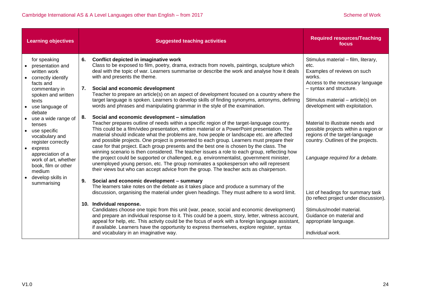| <b>Learning objectives</b>                                                                                                                                                                                                                                                                                                                                          | <b>Suggested teaching activities</b>                                                                                                                                                                                                                                                                                                                                                                                                                                                                                                                                                                                                                                                                                                                                                                                                                                                                                                                                                                                                                                                                                                                                                                                                                                                                                                                                                                                                                                                                                       | <b>Required resources/Teaching</b><br>focus                                                                                                                                                                                                                                                                                                                                                                       |
|---------------------------------------------------------------------------------------------------------------------------------------------------------------------------------------------------------------------------------------------------------------------------------------------------------------------------------------------------------------------|----------------------------------------------------------------------------------------------------------------------------------------------------------------------------------------------------------------------------------------------------------------------------------------------------------------------------------------------------------------------------------------------------------------------------------------------------------------------------------------------------------------------------------------------------------------------------------------------------------------------------------------------------------------------------------------------------------------------------------------------------------------------------------------------------------------------------------------------------------------------------------------------------------------------------------------------------------------------------------------------------------------------------------------------------------------------------------------------------------------------------------------------------------------------------------------------------------------------------------------------------------------------------------------------------------------------------------------------------------------------------------------------------------------------------------------------------------------------------------------------------------------------------|-------------------------------------------------------------------------------------------------------------------------------------------------------------------------------------------------------------------------------------------------------------------------------------------------------------------------------------------------------------------------------------------------------------------|
| for speaking<br>presentation and<br>written work<br>correctly identify<br>$\bullet$<br>facts and<br>commentary in<br>spoken and written<br>texts<br>use language of<br>debate<br>• use a wide range of<br>tenses<br>• use specific<br>vocabulary and<br>register correctly<br>express<br>appreciation of a<br>work of art, whether<br>book, film or other<br>medium | 6.<br>Conflict depicted in imaginative work<br>Class to be exposed to film, poetry, drama, extracts from novels, paintings, sculpture which<br>deal with the topic of war. Learners summarise or describe the work and analyse how it deals<br>with and presents the theme.<br>7.<br>Social and economic development<br>Teacher to prepare an article(s) on an aspect of development focused on a country where the<br>target language is spoken. Learners to develop skills of finding synonyms, antonyms, defining<br>words and phrases and manipulating grammar in the style of the examination.<br>Social and economic development - simulation<br>8.<br>Teacher prepares outline of needs within a specific region of the target-language country.<br>This could be a film/video presentation, written material or a PowerPoint presentation. The<br>material should indicate what the problems are, how people or landscape etc. are affected<br>and possible projects. One project is presented to each group. Learners must prepare their<br>case for that project. Each group presents and the best one is chosen by the class. The<br>winning scenario is then considered. The teacher issues a role to each group, reflecting how<br>the project could be supported or challenged, e.g. environmentalist, government minister,<br>unemployed young person, etc. The group nominates a spokesperson who will represent<br>their views but who can accept advice from the group. The teacher acts as chairperson. | Stimulus material - film, literary,<br>etc.<br>Examples of reviews on such<br>works.<br>Access to the necessary language<br>- syntax and structure.<br>Stimulus material - article(s) on<br>development with exploitation.<br>Material to illustrate needs and<br>possible projects within a region or<br>regions of the target-language<br>country. Outlines of the projects.<br>Language required for a debate. |
| develop skills in<br>summarising                                                                                                                                                                                                                                                                                                                                    | Social and economic development - summary<br>9.<br>The learners take notes on the debate as it takes place and produce a summary of the<br>discussion, organising the material under given headings. They must adhere to a word limit.<br>10. Individual response.<br>Candidates choose one topic from this unit (war, peace, social and economic development)                                                                                                                                                                                                                                                                                                                                                                                                                                                                                                                                                                                                                                                                                                                                                                                                                                                                                                                                                                                                                                                                                                                                                             | List of headings for summary task<br>(to reflect project under discussion).<br>Stimulus/model material.                                                                                                                                                                                                                                                                                                           |
|                                                                                                                                                                                                                                                                                                                                                                     | and prepare an individual response to it. This could be a poem, story, letter, witness account,<br>appeal for help, etc. This activity could be the focus of work with a foreign language assistant,<br>if available. Learners have the opportunity to express themselves, explore register, syntax<br>and vocabulary in an imaginative way.                                                                                                                                                                                                                                                                                                                                                                                                                                                                                                                                                                                                                                                                                                                                                                                                                                                                                                                                                                                                                                                                                                                                                                               | Guidance on material and<br>appropriate language.<br>Individual work.                                                                                                                                                                                                                                                                                                                                             |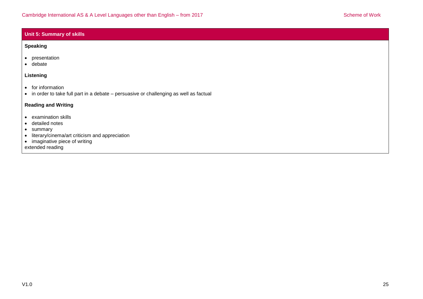#### **Unit 5: Summary of skills**

#### **Speaking**

- presentation
- debate

#### **Listening**

- for information
- in order to take full part in a debate persuasive or challenging as well as factual

### **Reading and Writing**

- examination skills
- detailed notes
- summary
- literary/cinema/art criticism and appreciation
- imaginative piece of writing

extended reading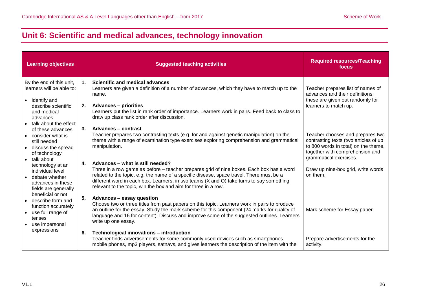# <span id="page-25-0"></span>**Unit 6: Scientific and medical advances, technology innovation**

| <b>Learning objectives</b>                                                                                                                                                                                                     | <b>Suggested teaching activities</b>                                                                                                                                                                                                                                                                                                                                                                                                                                                                                                                                                                                                | <b>Required resources/Teaching</b><br>focus                                                                                                                                                                                      |
|--------------------------------------------------------------------------------------------------------------------------------------------------------------------------------------------------------------------------------|-------------------------------------------------------------------------------------------------------------------------------------------------------------------------------------------------------------------------------------------------------------------------------------------------------------------------------------------------------------------------------------------------------------------------------------------------------------------------------------------------------------------------------------------------------------------------------------------------------------------------------------|----------------------------------------------------------------------------------------------------------------------------------------------------------------------------------------------------------------------------------|
| By the end of this unit,<br>learners will be able to:<br>identify and<br>$\bullet$<br>describe scientific<br>and medical<br>advances<br>talk about the effect<br>$\bullet$                                                     | <b>Scientific and medical advances</b><br>1.<br>Learners are given a definition of a number of advances, which they have to match up to the<br>name.<br>2.<br><b>Advances - priorities</b><br>Learners put the list in rank order of importance. Learners work in pairs. Feed back to class to<br>draw up class rank order after discussion.                                                                                                                                                                                                                                                                                        | Teacher prepares list of names of<br>advances and their definitions;<br>these are given out randomly for<br>learners to match up.                                                                                                |
| of these advances<br>consider what is<br>still needed<br>discuss the spread<br>of technology<br>talk about<br>technology at an<br>individual level<br>debate whether<br>$\bullet$<br>advances in these<br>fields are generally | 3.<br>Advances - contrast<br>Teacher prepares two contrasting texts (e.g. for and against genetic manipulation) on the<br>theme with a range of examination type exercises exploring comprehension and grammatical<br>manipulation.<br>Advances - what is still needed?<br>4.<br>Three in a row game as before - teacher prepares grid of nine boxes. Each box has a word<br>related to the topic, e.g. the name of a specific disease, space travel. There must be a<br>different word in each box. Learners, in two teams (X and O) take turns to say something<br>relevant to the topic, win the box and aim for three in a row. | Teacher chooses and prepares two<br>contrasting texts (two articles of up<br>to 800 words in total) on the theme,<br>together with comprehension and<br>grammatical exercises.<br>Draw up nine-box grid, write words<br>on them. |
| beneficial or not<br>describe form and<br>function accurately<br>use full range of<br>tenses<br>use impersonal                                                                                                                 | 5.<br>Advances - essay question<br>Choose two or three titles from past papers on this topic. Learners work in pairs to produce<br>an outline for the essay. Study the mark scheme for this component (24 marks for quality of<br>language and 16 for content). Discuss and improve some of the suggested outlines. Learners<br>write up one essay.                                                                                                                                                                                                                                                                                 | Mark scheme for Essay paper.                                                                                                                                                                                                     |
| expressions                                                                                                                                                                                                                    | Technological innovations - introduction<br>6.<br>Teacher finds advertisements for some commonly used devices such as smartphones,<br>mobile phones, mp3 players, satnavs, and gives learners the description of the item with the                                                                                                                                                                                                                                                                                                                                                                                                  | Prepare advertisements for the<br>activity.                                                                                                                                                                                      |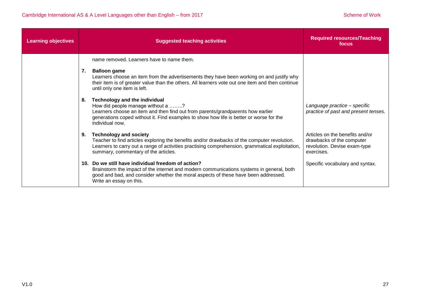| <b>Learning objectives</b> |     | <b>Suggested teaching activities</b>                                                                                                                                                                                                                                       | <b>Required resources/Teaching</b><br>focus                                                                |
|----------------------------|-----|----------------------------------------------------------------------------------------------------------------------------------------------------------------------------------------------------------------------------------------------------------------------------|------------------------------------------------------------------------------------------------------------|
|                            |     | name removed. Learners have to name them.                                                                                                                                                                                                                                  |                                                                                                            |
|                            | 7.  | <b>Balloon game</b><br>Learners choose an item from the advertisements they have been working on and justify why<br>their item is of greater value than the others. All learners vote out one item and then continue<br>until only one item is left.                       |                                                                                                            |
|                            | 8.  | <b>Technology and the individual</b><br>How did people manage without a ?<br>Learners choose an item and then find out from parents/grandparents how earlier<br>generations coped without it. Find examples to show how life is better or worse for the<br>individual now. | Language practice - specific<br>practice of past and present tenses.                                       |
|                            | 9.  | <b>Technology and society</b><br>Teacher to find articles exploring the benefits and/or drawbacks of the computer revolution.<br>Learners to carry out a range of activities practising comprehension, grammatical exploitation,<br>summary, commentary of the articles.   | Articles on the benefits and/or<br>drawbacks of the computer<br>revolution. Devise exam-type<br>exercises. |
|                            | 10. | Do we still have individual freedom of action?<br>Brainstorm the impact of the internet and modern communications systems in general, both<br>good and bad, and consider whether the moral aspects of these have been addressed.<br>Write an essay on this.                | Specific vocabulary and syntax.                                                                            |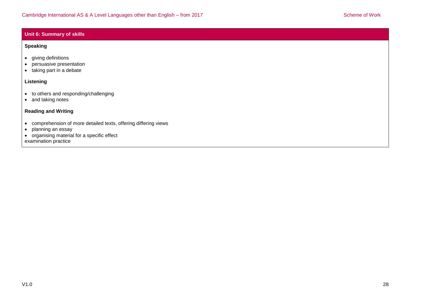#### **Unit 6: Summary of skills**

#### **Speaking**

- giving definitions
- persuasive presentation
- taking part in a debate

### **Listening**

- to others and responding/challenging
- and taking notes

## **Reading and Writing**

- comprehension of more detailed texts, offering differing views
- planning an essay
- organising material for a specific effect

examination practice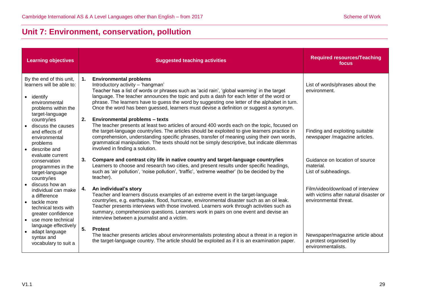# <span id="page-28-0"></span>**Unit 7: Environment, conservation, pollution**

| <b>Learning objectives</b>                                                                                                                 |    | <b>Suggested teaching activities</b>                                                                                                                                                                                                                                                                                                                                                                                                                                   | <b>Required resources/Teaching</b><br>focus                                                         |
|--------------------------------------------------------------------------------------------------------------------------------------------|----|------------------------------------------------------------------------------------------------------------------------------------------------------------------------------------------------------------------------------------------------------------------------------------------------------------------------------------------------------------------------------------------------------------------------------------------------------------------------|-----------------------------------------------------------------------------------------------------|
| By the end of this unit,<br>learners will be able to:<br>• identify<br>environmental<br>problems within the                                | 1. | <b>Environmental problems</b><br>Introductory activity - 'hangman'<br>Teacher has a list of words or phrases such as 'acid rain', 'global warming' in the target<br>language. The teacher announces the topic and puts a dash for each letter of the word or<br>phrase. The learners have to guess the word by suggesting one letter of the alphabet in turn.<br>Once the word has been guessed, learners must devise a definition or suggest a synonym.               | List of words/phrases about the<br>environment.                                                     |
| target-language<br>country/ies<br>discuss the causes<br>and effects of<br>environmental<br>problems<br>• describe and                      | 2. | <b>Environmental problems - texts</b><br>The teacher presents at least two articles of around 400 words each on the topic, focused on<br>the target-language country/ies. The articles should be exploited to give learners practice in<br>comprehension, understanding specific phrases, transfer of meaning using their own words,<br>grammatical manipulation. The texts should not be simply descriptive, but indicate dilemmas<br>involved in finding a solution. | Finding and exploiting suitable<br>newspaper /magazine articles.                                    |
| evaluate current<br>conservation<br>programmes in the<br>target-language<br>country/ies                                                    | 3. | Compare and contrast city life in native country and target-language country/ies<br>Learners to choose and research two cities, and present results under specific headings,<br>such as 'air pollution', 'noise pollution', 'traffic', 'extreme weather' (to be decided by the<br>teacher).                                                                                                                                                                            | Guidance on location of source<br>material.<br>List of subheadings.                                 |
| discuss how an<br>individual can make<br>a difference<br>• tackle more<br>technical texts with<br>greater confidence<br>use more technical | 4. | An individual's story<br>Teacher and learners discuss examples of an extreme event in the target-language<br>country/ies, e.g. earthquake, flood, hurricane, environmental disaster such as an oil leak.<br>Teacher presents interviews with those involved. Learners work through activities such as<br>summary, comprehension questions. Learners work in pairs on one event and devise an<br>interview between a journalist and a victim.                           | Film/video/download of interview<br>with victims after natural disaster or<br>environmental threat. |
| language effectively<br>• adapt language<br>syntax and<br>vocabulary to suit a                                                             | 5. | <b>Protest</b><br>The teacher presents articles about environmentalists protesting about a threat in a region in<br>the target-language country. The article should be exploited as if it is an examination paper.                                                                                                                                                                                                                                                     | Newspaper/magazine article about<br>a protest organised by<br>environmentalists.                    |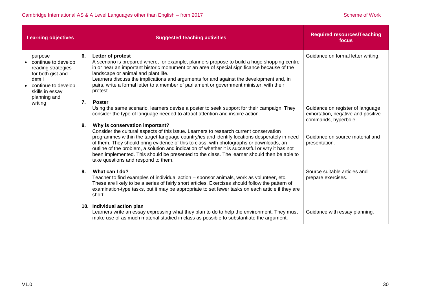| <b>Learning objectives</b>                                                                                                                    |          | <b>Suggested teaching activities</b>                                                                                                                                                                                                                                                                                                                                                                                                                                        | <b>Required resources/Teaching</b><br>focus                                                    |
|-----------------------------------------------------------------------------------------------------------------------------------------------|----------|-----------------------------------------------------------------------------------------------------------------------------------------------------------------------------------------------------------------------------------------------------------------------------------------------------------------------------------------------------------------------------------------------------------------------------------------------------------------------------|------------------------------------------------------------------------------------------------|
| purpose<br>continue to develop<br>reading strategies<br>for both gist and<br>detail<br>continue to develop<br>skills in essay<br>planning and | 6.<br>7. | Letter of protest<br>A scenario is prepared where, for example, planners propose to build a huge shopping centre<br>in or near an important historic monument or an area of special significance because of the<br>landscape or animal and plant life.<br>Learners discuss the implications and arguments for and against the development and, in<br>pairs, write a formal letter to a member of parliament or government minister, with their<br>protest.<br><b>Poster</b> | Guidance on formal letter writing.                                                             |
| writing                                                                                                                                       | 8.       | Using the same scenario, learners devise a poster to seek support for their campaign. They<br>consider the type of language needed to attract attention and inspire action.<br>Why is conservation important?<br>Consider the cultural aspects of this issue. Learners to research current conservation                                                                                                                                                                     | Guidance on register of language<br>exhortation, negative and positive<br>commands, hyperbole. |
|                                                                                                                                               |          | programmes within the target-language country/ies and identify locations desperately in need<br>of them. They should bring evidence of this to class, with photographs or downloads, an<br>outline of the problem, a solution and indication of whether it is successful or why it has not<br>been implemented. This should be presented to the class. The learner should then be able to<br>take questions and respond to them.                                            | Guidance on source material and<br>presentation.                                               |
|                                                                                                                                               | 9.       | What can I do?<br>Teacher to find examples of individual action – sponsor animals, work as volunteer, etc.<br>These are likely to be a series of fairly short articles. Exercises should follow the pattern of<br>examination-type tasks, but it may be appropriate to set fewer tasks on each article if they are<br>short.                                                                                                                                                | Source suitable articles and<br>prepare exercises.                                             |
|                                                                                                                                               |          | 10. Individual action plan<br>Learners write an essay expressing what they plan to do to help the environment. They must<br>make use of as much material studied in class as possible to substantiate the argument.                                                                                                                                                                                                                                                         | Guidance with essay planning.                                                                  |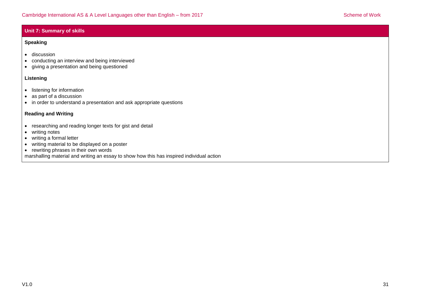## **Unit 7: Summary of skills**

### **Speaking**

- **•** discussion
- conducting an interview and being interviewed
- giving a presentation and being questioned

### **Listening**

- **·** listening for information
- as part of a discussion
- in order to understand a presentation and ask appropriate questions

### **Reading and Writing**

- researching and reading longer texts for gist and detail
- writing notes
- writing a formal letter
- writing material to be displayed on a poster
- rewriting phrases in their own words
- marshalling material and writing an essay to show how this has inspired individual action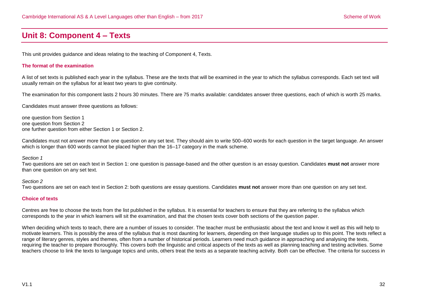# <span id="page-31-0"></span>**Unit 8: Component 4 – Texts**

This unit provides guidance and ideas relating to the teaching of Component 4, Texts.

#### **The format of the examination**

A list of set texts is published each year in the syllabus. These are the texts that will be examined in the year to which the syllabus corresponds. Each set text will usually remain on the syllabus for at least two years to give continuity.

The examination for this component lasts 2 hours 30 minutes. There are 75 marks available: candidates answer three questions, each of which is worth 25 marks.

Candidates must answer three questions as follows:

one question from Section 1 one question from Section 2 one further question from either Section 1 or Section 2.

Candidates must not answer more than one question on any set text. They should aim to write 500–600 words for each question in the target language. An answer which is longer than 600 words cannot be placed higher than the 16–17 category in the mark scheme.

*Section 1*

Two questions are set on each text in Section 1: one question is passage-based and the other question is an essay question. Candidates **must not** answer more than one question on any set text.

*Section 2*

Two questions are set on each text in Section 2: both questions are essay questions. Candidates **must not** answer more than one question on any set text.

#### **Choice of texts**

Centres are free to choose the texts from the list published in the syllabus. It is essential for teachers to ensure that they are referring to the syllabus which corresponds to the year in which learners will sit the examination, and that the chosen texts cover both sections of the question paper.

When deciding which texts to teach, there are a number of issues to consider. The teacher must be enthusiastic about the text and know it well as this will help to motivate learners. This is possibly the area of the syllabus that is most daunting for learners, depending on their language studies up to this point. The texts reflect a range of literary genres, styles and themes, often from a number of historical periods. Learners need much guidance in approaching and analysing the texts, requiring the teacher to prepare thoroughly. This covers both the linguistic and critical aspects of the texts as well as planning teaching and testing activities. Some teachers choose to link the texts to language topics and units, others treat the texts as a separate teaching activity. Both can be effective. The criteria for success in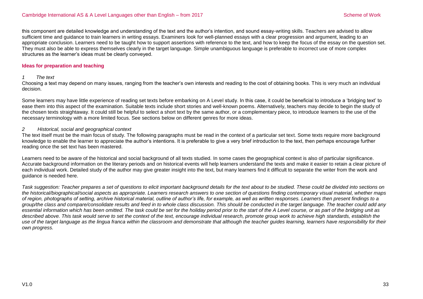this component are detailed knowledge and understanding of the text and the author's intention, and sound essay-writing skills. Teachers are advised to allow sufficient time and guidance to train learners in writing essays. Examiners look for well-planned essays with a clear progression and argument, leading to an appropriate conclusion. Learners need to be taught how to support assertions with reference to the text, and how to keep the focus of the essay on the question set. They must also be able to express themselves clearly in the target language. Simple unambiguous language is preferable to incorrect use of more complex structures as the learner's ideas must be clearly conveyed.

#### **Ideas for preparation and teaching**

#### *1 The text*

Choosing a text may depend on many issues, ranging from the teacher's own interests and reading to the cost of obtaining books. This is very much an individual decision.

Some learners may have little experience of reading set texts before embarking on A Level study. In this case, it could be beneficial to introduce a 'bridging text' to ease them into this aspect of the examination. Suitable texts include short stories and well-known poems. Alternatively, teachers may decide to begin the study of the chosen texts straightaway. It could still be helpful to select a short text by the same author, or a complementary piece, to introduce learners to the use of the necessary terminology with a more limited focus. See sections below on different genres for more ideas.

#### *2 Historical, social and geographical context*

The text itself must be the main focus of study. The following paragraphs must be read in the context of a particular set text. Some texts require more background knowledge to enable the learner to appreciate the author's intentions. It is preferable to give a very brief introduction to the text, then perhaps encourage further reading once the set text has been mastered.

Learners need to be aware of the historical and social background of all texts studied. In some cases the geographical context is also of particular significance. Accurate background information on the literary periods and on historical events will help learners understand the texts and make it easier to retain a clear picture of each individual work. Detailed study of the author may give greater insight into the text, but many learners find it difficult to separate the writer from the work and guidance is needed here.

*Task suggestion: Teacher prepares a set of questions to elicit important background details for the text about to be studied. These could be divided into sections on the historical/biographical/social aspects as appropriate. Learners research answers to one section of questions finding contemporary visual material, whether maps of region, photographs of setting, archive historical material, outline of author's life, for example, as well as written responses. Learners then present findings to a group/the class and compare/consolidate results and feed in to whole class discussion. This should be conducted in the target language. The teacher could add any essential information which has been omitted. The task could be set for the holiday period prior to the start of the A Level course, or as part of the bridging unit as*  described above. This task would serve to set the context of the text, encourage individual research, promote group work to achieve high standards, establish the *use of the target language as the lingua franca within the classroom and demonstrate that although the teacher guides learning, learners have responsibility for their own progress.*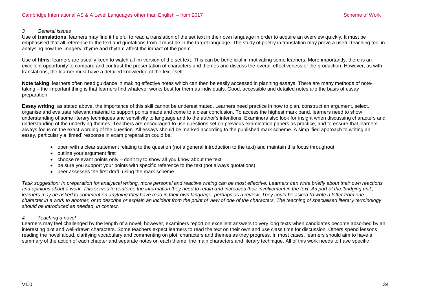#### *3 General issues*

Use of **translations**: learners may find it helpful to read a translation of the set text in their own language in order to acquire an overview quickly. It must be emphasised that all reference to the text and quotations from it must be in the target language. The study of poetry in translation may prove a useful teaching tool in analysing how the imagery, rhyme and rhythm affect the impact of the poem.

Use of **films**: learners are usually keen to watch a film version of the set text. This can be beneficial in motivating some learners. More importantly, there is an excellent opportunity to compare and contrast the presentation of characters and themes and discuss the overall effectiveness of the production. However, as with translations, the learner must have a detailed knowledge of the text itself.

**Note taking**: learners often need guidance in making effective notes which can then be easily accessed in planning essays. There are many methods of notetaking – the important thing is that learners find whatever works best for them as individuals. Good, accessible and detailed notes are the basis of essay preparation.

**Essay writing**: as stated above, the importance of this skill cannot be underestimated. Learners need practice in how to plan, construct an argument, select, organise and evaluate relevant material to support points made and come to a clear conclusion. To access the highest mark band, learners need to show understanding of some literary techniques and sensitivity to language and to the author's intentions. Examiners also look for insight when discussing characters and understanding of the underlying themes. Teachers are encouraged to use questions set on previous examination papers as practice, and to ensure that learners always focus on the exact wording of the question. All essays should be marked according to the published mark scheme. A simplified approach to writing an essay, particularly a 'timed' response in exam preparation could be:

- open with a clear statement relating to the question (not a general introduction to the text) and maintain this focus throughout
- outline your argument first
- $\bullet$  choose relevant points only  $-$  don't try to show all you know about the text
- be sure you support your points with specific reference to the text (not always quotations)
- peer assesses the first draft, using the mark scheme

*Task suggestion: In preparation for analytical writing, more personal and reactive writing can be most effective. Learners can write briefly about their own reactions and opinions about a work. This serves to reinforce the information they need to retain and increases their involvement in the text. As part of the 'bridging unit', learners may be asked to comment on anything they have read in their own language, perhaps as a review. They could be asked to write a letter from one character in a work to another, or to describe or explain an incident from the point of view of one of the characters. The teaching of specialised literary terminology should be introduced as needed, in context.* 

#### *4 Teaching a novel*

Learners may feel challenged by the length of a novel; however, examiners report on excellent answers to very long texts when candidates become absorbed by an interesting plot and well-drawn characters. Some teachers expect learners to read the text on their own and use class time for discussion. Others spend lessons reading the novel aloud, clarifying vocabulary and commenting on plot, characters and themes as they progress. In most cases, learners should aim to have a summary of the action of each chapter and separate notes on each theme, the main characters and literary technique. All of this work needs to have specific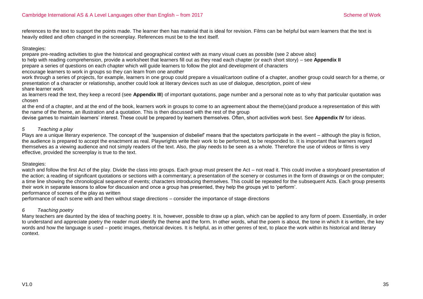references to the text to support the points made. The learner then has material that is ideal for revision. Films can be helpful but warn learners that the text is heavily edited and often changed in the screenplay. References must be to the text itself.

#### Strategies:

prepare pre-reading activities to give the historical and geographical context with as many visual cues as possible (see 2 above also)

to help with reading comprehension, provide a worksheet that learners fill out as they read each chapter (or each short story) – see **Appendix II**

prepare a series of questions on each chapter which will guide learners to follow the plot and development of characters

encourage learners to work in groups so they can learn from one another

work through a series of projects, for example, learners in one group could prepare a visual/cartoon outline of a chapter, another group could search for a theme, or presentation of a character or relationship, another could look at literary devices such as use of dialogue, description, point of view share learner work

as learners read the text, they keep a record (see **Appendix III**) of important quotations, page number and a personal note as to why that particular quotation was chosen

at the end of a chapter, and at the end of the book, learners work in groups to come to an agreement about the theme(s)and produce a representation of this with the name of the theme, an illustration and a quotation. This is then discussed with the rest of the group

devise games to maintain learners' interest. These could be prepared by learners themselves. Often, short activities work best. See **Appendix IV** for ideas.

### *5 Teaching a play*

Plays are a unique literary experience. The concept of the 'suspension of disbelief' means that the spectators participate in the event – although the play is fiction, the audience is prepared to accept the enactment as real. Playwrights write their work to be performed, to be responded to. It is important that learners regard themselves as a viewing audience and not simply readers of the text. Also, the play needs to be seen as a whole. Therefore the use of videos or films is very effective, provided the screenplay is true to the text.

### Strategies:

watch and follow the first Act of the play. Divide the class into groups. Each group must present the Act – not read it. This could involve a storyboard presentation of the action; a reading of significant quotations or sections with a commentary; a presentation of the scenery or costumes in the form of drawings or on the computer; a time line showing the chronological sequence of events; characters introducing themselves. This could be repeated for the subsequent Acts. Each group presents their work in separate lessons to allow for discussion and once a group has presented, they help the groups yet to 'perform'.

performance of scenes of the play as written

performance of each scene with and then without stage directions – consider the importance of stage directions

## *6 Teaching poetry*

Many teachers are daunted by the idea of teaching poetry. It is, however, possible to draw up a plan, which can be applied to any form of poem. Essentially, in order to understand and appreciate poetry the reader must identify the theme and the form. In other words, what the poem is about, the tone in which it is written, the key words and how the language is used – poetic images, rhetorical devices. It is helpful, as in other genres of text, to place the work within its historical and literary context.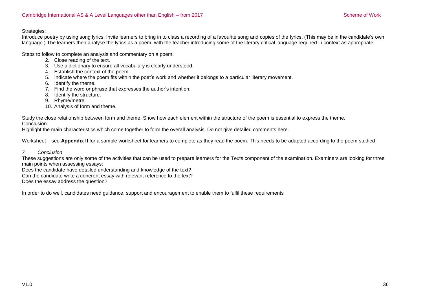#### Strategies:

Introduce poetry by using song lyrics. Invite learners to bring in to class a recording of a favourite song and copies of the lyrics. (This may be in the candidate's own language.) The learners then analyse the lyrics as a poem, with the teacher introducing some of the literary critical language required in context as appropriate.

Steps to follow to complete an analysis and commentary on a poem:

- 2. Close reading of the text.
- 3. Use a dictionary to ensure all vocabulary is clearly understood.
- 4. Establish the context of the poem.
- 5. Indicate where the poem fits within the poet's work and whether it belongs to a particular literary movement.
- 6. Identify the theme.
- 7. Find the word or phrase that expresses the author's intention.
- 8. Identify the structure.
- 9. Rhyme/metre.
- 10. Analysis of form and theme.

Study the close relationship between form and theme. Show how each element within the structure of the poem is essential to express the theme.

Conclusion.

Highlight the main characteristics which come together to form the overall analysis. Do not give detailed comments here.

Worksheet – see **Appendix II** for a sample worksheet for learners to complete as they read the poem. This needs to be adapted according to the poem studied.

#### *7 Conclusion*

These suggestions are only some of the activities that can be used to prepare learners for the Texts component of the examination. Examiners are looking for three main points when assessing essays:

Does the candidate have detailed understanding and knowledge of the text?

Can the candidate write a coherent essay with relevant reference to the text?

Does the essay address the question?

In order to do well, candidates need guidance, support and encouragement to enable them to fulfil these requirements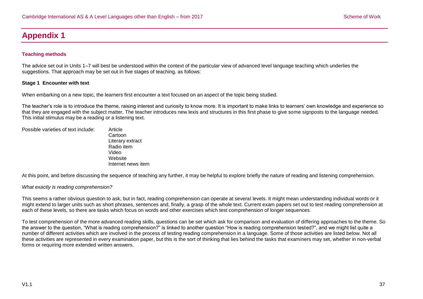# <span id="page-36-0"></span>**Appendix 1**

## **Teaching methods**

The advice set out in Units 1–7 will best be understood within the context of the particular view of advanced level language teaching which underlies the suggestions. That approach may be set out in five stages of teaching, as follows:

#### **Stage 1 Encounter with text**

When embarking on a new topic, the learners first encounter a text focused on an aspect of the topic being studied.

The teacher's role is to introduce the theme, raising interest and curiosity to know more. It is important to make links to learners' own knowledge and experience so that they are engaged with the subject matter. The teacher introduces new lexis and structures in this first phase to give some signposts to the language needed. This initial stimulus may be a reading or a listening text.

| Possible varieties of text include: | Article   |  |
|-------------------------------------|-----------|--|
|                                     | Cartoon   |  |
|                                     | Literary  |  |
|                                     | Radio ite |  |

erary extract dio item Video Website Internet news item

At this point, and before discussing the sequence of teaching any further, it may be helpful to explore briefly the nature of reading and listening comprehension.

#### *What exactly is reading comprehension?*

This seems a rather obvious question to ask, but in fact, reading comprehension can operate at several levels. It might mean understanding individual words or it might extend to larger units such as short phrases, sentences and, finally, a grasp of the whole text. Current exam papers set out to test reading comprehension at each of these levels, so there are tasks which focus on words and other exercises which test comprehension of longer sequences.

To test comprehension of the more advanced reading skills, questions can be set which ask for comparison and evaluation of differing approaches to the theme. So the answer to the question, "What is reading comprehension?" is linked to another question "How is reading comprehension tested?", and we might list quite a number of different activities which are involved in the process of testing reading comprehension in a language. Some of those activities are listed below. Not all these activities are represented in every examination paper, but this is the sort of thinking that lies behind the tasks that examiners may set, whether in non-verbal forms or requiring more extended written answers.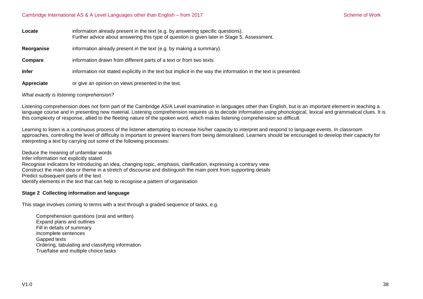| Locate       | information already present in the text (e.g. by answering specific questions).<br>Further advice about answering this type of question is given later in Stage 5, Assessment. |
|--------------|--------------------------------------------------------------------------------------------------------------------------------------------------------------------------------|
| Reorganise   | information already present in the text (e.g. by making a summary).                                                                                                            |
| Compare      | information drawn from different parts of a text or from two texts.                                                                                                            |
| <b>Infer</b> | information not stated explicitly in the text but implicit in the way the information in the text is presented.                                                                |
| Appreciate   | or give an opinion on views presented in the text.                                                                                                                             |

*What exactly is listening comprehension?*

Listening comprehension does not form part of the Cambridge AS/A Level examination in languages other than English, but is an important element in teaching a language course and in presenting new material. Listening comprehension requires us to decode information using phonological, lexical and grammatical clues. It is this complexity of response, allied to the fleeting nature of the spoken word, which makes listening comprehension so difficult.

Learning to listen is a continuous process of the listener attempting to increase his/her capacity to interpret and respond to language events. In classroom approaches, controlling the level of difficulty is important to prevent learners from being demoralised. Learners should be encouraged to develop their capacity for interpreting a text by carrying out some of the following processes:

Deduce the meaning of unfamiliar words Infer information not explicitly stated Recognise indicators for introducing an idea, changing topic, emphasis, clarification, expressing a contrary view Construct the main idea or theme in a stretch of discourse and distinguish the main point from supporting details Predict subsequent parts of the text Identify elements in the text that can help to recognise a pattern of organisation

#### **Stage 2 Collecting information and language**

This stage involves coming to terms with a text through a graded sequence of tasks, e.g.

Comprehension questions (oral and written) Expand plans and outlines Fill in details of summary Incomplete sentences Gapped texts Ordering, tabulating and classifying information True/false and multiple choice tasks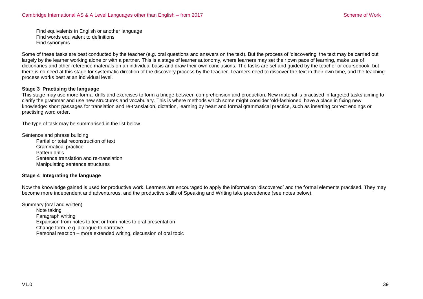Find equivalents in English or another language Find words equivalent to definitions Find synonyms

Some of these tasks are best conducted by the teacher (e.g. oral questions and answers on the text). But the process of 'discovering' the text may be carried out largely by the learner working alone or with a partner. This is a stage of learner autonomy, where learners may set their own pace of learning, make use of dictionaries and other reference materials on an individual basis and draw their own conclusions. The tasks are set and guided by the teacher or coursebook, but there is no need at this stage for systematic direction of the discovery process by the teacher. Learners need to discover the text in their own time, and the teaching process works best at an individual level.

#### **Stage 3 Practising the language**

This stage may use more formal drills and exercises to form a bridge between comprehension and production. New material is practised in targeted tasks aiming to clarify the grammar and use new structures and vocabulary. This is where methods which some might consider 'old-fashioned' have a place in fixing new knowledge: short passages for translation and re-translation, dictation, learning by heart and formal grammatical practice, such as inserting correct endings or practising word order.

The type of task may be summarised in the list below.

Sentence and phrase building Partial or total reconstruction of text Grammatical practice Pattern drills Sentence translation and re-translation Manipulating sentence structures

#### **Stage 4 Integrating the language**

Now the knowledge gained is used for productive work. Learners are encouraged to apply the information 'discovered' and the formal elements practised. They may become more independent and adventurous, and the productive skills of Speaking and Writing take precedence (see notes below).

Summary (oral and written) Note taking Paragraph writing Expansion from notes to text or from notes to oral presentation Change form, e.g. dialogue to narrative Personal reaction – more extended writing, discussion of oral topic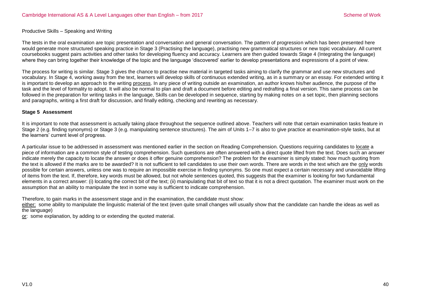#### Productive Skills – Speaking and Writing

The tests in the oral examination are topic presentation and conversation and general conversation. The pattern of progression which has been presented here would generate more structured speaking practice in Stage 3 (Practising the language), practising new grammatical structures or new topic vocabulary. All current coursebooks suggest pairs activities and other tasks for developing fluency and accuracy. Learners are then guided towards Stage 4 (Integrating the language) where they can bring together their knowledge of the topic and the language 'discovered' earlier to develop presentations and expressions of a point of view.

The process for writing is similar. Stage 3 gives the chance to practise new material in targeted tasks aiming to clarify the grammar and use new structures and vocabulary. In Stage 4, working away from the text, learners will develop skills of continuous extended writing, as in a summary or an essay. For extended writing it is important to develop an approach to the writing process. In any piece of writing outside an examination, an author knows his/her audience, the purpose of the task and the level of formality to adopt. It will also be normal to plan and draft a document before editing and redrafting a final version. This same process can be followed in the preparation for writing tasks in the language. Skills can be developed in sequence, starting by making notes on a set topic, then planning sections and paragraphs, writing a first draft for discussion, and finally editing, checking and rewriting as necessary.

#### **Stage 5 Assessment**

It is important to note that assessment is actually taking place throughout the sequence outlined above. Teachers will note that certain examination tasks feature in Stage 2 (e.g. finding synonyms) or Stage 3 (e.g. manipulating sentence structures). The aim of Units 1–7 is also to give practice at examination-style tasks, but at the learners' current level of progress.

A particular issue to be addressed in assessment was mentioned earlier in the section on Reading Comprehension. Questions requiring candidates to locate a piece of information are a common style of testing comprehension. Such questions are often answered with a direct quote lifted from the text. Does such an answer indicate merely the capacity to locate the answer or does it offer genuine comprehension? The problem for the examiner is simply stated: how much quoting from the text is allowed if the marks are to be awarded? It is not sufficient to tell candidates to use their own words. There are words in the text which are the only words possible for certain answers, unless one was to require an impossible exercise in finding synonyms. So one must expect a certain necessary and unavoidable lifting of items from the text. If, therefore, key words must be allowed, but not whole sentences quoted, this suggests that the examiner is looking for two fundamental elements in a correct answer: (i) locating the correct bit of the text; (ii) manipulating that bit of text so that it is not a direct quotation. The examiner must work on the assumption that an ability to manipulate the text in some way is sufficient to indicate comprehension.

Therefore, to gain marks in the assessment stage and in the examination, the candidate must show:

either: some ability to manipulate the linguistic material of the text (even quite small changes will usually show that the candidate can handle the ideas as well as the language)

or: some explanation, by adding to or extending the quoted material.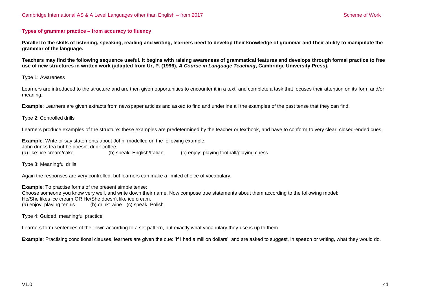#### **Types of grammar practice – from accuracy to fluency**

**Parallel to the skills of listening, speaking, reading and writing, learners need to develop their knowledge of grammar and their ability to manipulate the grammar of the language.** 

**Teachers may find the following sequence useful. It begins with raising awareness of grammatical features and develops through formal practice to free use of new structures in written work (adapted from Ur, P. (1996),** *A Course in Language Teaching***, Cambridge University Press).**

Type 1: Awareness

Learners are introduced to the structure and are then given opportunities to encounter it in a text, and complete a task that focuses their attention on its form and/or meaning.

**Example**: Learners are given extracts from newspaper articles and asked to find and underline all the examples of the past tense that they can find.

Type 2: Controlled drills

Learners produce examples of the structure: these examples are predetermined by the teacher or textbook, and have to conform to very clear, closed-ended cues.

**Example**: Write or say statements about John, modelled on the following example: John drinks tea but he doesn't drink coffee. (a) like: ice cream/cake (b) speak: English/Italian (c) enjoy: playing football/playing chess

Type 3: Meaningful drills

Again the responses are very controlled, but learners can make a limited choice of vocabulary.

**Example:** To practise forms of the present simple tense: Choose someone you know very well, and write down their name. Now compose true statements about them according to the following model: He/She likes ice cream OR He/She doesn't like ice cream. (a) enjoy: playing tennis (b) drink: wine (c) speak: Polish

Type 4: Guided, meaningful practice

Learners form sentences of their own according to a set pattern, but exactly what vocabulary they use is up to them.

**Example**: Practising conditional clauses, learners are given the cue: 'If I had a million dollars', and are asked to suggest, in speech or writing, what they would do.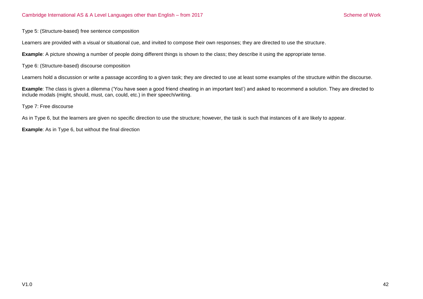Type 5: (Structure-based) free sentence composition

Learners are provided with a visual or situational cue, and invited to compose their own responses; they are directed to use the structure.

**Example**: A picture showing a number of people doing different things is shown to the class; they describe it using the appropriate tense.

Type 6: (Structure-based) discourse composition

Learners hold a discussion or write a passage according to a given task; they are directed to use at least some examples of the structure within the discourse.

**Example**: The class is given a dilemma ('You have seen a good friend cheating in an important test') and asked to recommend a solution. They are directed to include modals (might, should, must, can, could, etc.) in their speech/writing.

Type 7: Free discourse

As in Type 6, but the learners are given no specific direction to use the structure; however, the task is such that instances of it are likely to appear.

**Example**: As in Type 6, but without the final direction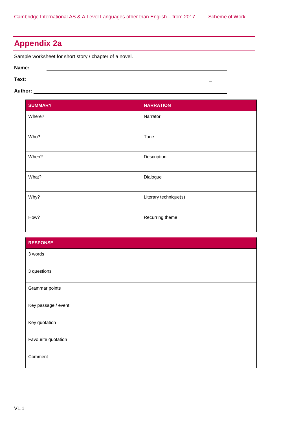# <span id="page-42-0"></span>**Appendix 2a**

Sample worksheet for short story / chapter of a novel.

#### **Name:**

**Text:** \_

# **Author:**

| <b>SUMMARY</b> | <b>NARRATION</b>      |
|----------------|-----------------------|
| Where?         | Narrator              |
|                |                       |
| Who?           | Tone                  |
|                |                       |
| When?          | Description           |
| What?          | Dialogue              |
| Why?           | Literary technique(s) |
| How?           | Recurring theme       |

| <b>RESPONSE</b>     |
|---------------------|
| 3 words             |
| 3 questions         |
| Grammar points      |
| Key passage / event |
| Key quotation       |
| Favourite quotation |
| Comment             |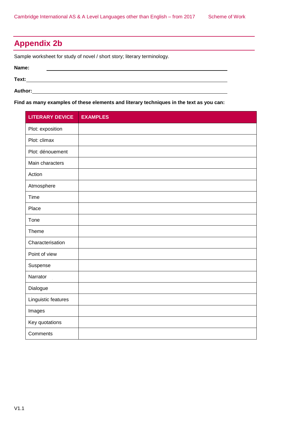# <span id="page-43-0"></span>**Appendix 2b**

Sample worksheet for study of novel / short story; literary terminology.

| Name:   |  |  |
|---------|--|--|
| Text:   |  |  |
| Author: |  |  |

**Find as many examples of these elements and literary techniques in the text as you can:**

| <b>LITERARY DEVICE</b> | <b>EXAMPLES</b> |
|------------------------|-----------------|
| Plot: exposition       |                 |
| Plot: climax           |                 |
| Plot: dénouement       |                 |
| Main characters        |                 |
| Action                 |                 |
| Atmosphere             |                 |
| Time                   |                 |
| Place                  |                 |
| Tone                   |                 |
| Theme                  |                 |
| Characterisation       |                 |
| Point of view          |                 |
| Suspense               |                 |
| Narrator               |                 |
| Dialogue               |                 |
| Linguistic features    |                 |
| Images                 |                 |
| Key quotations         |                 |
| Comments               |                 |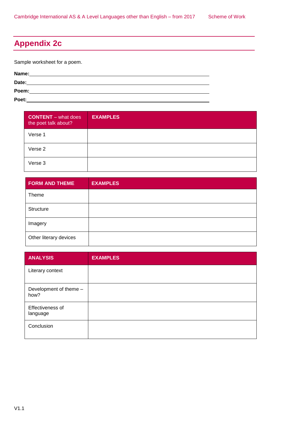# <span id="page-44-0"></span>**Appendix 2c**

Sample worksheet for a poem.

**Name: Date: Poem: Poet:**

| <b>CONTENT</b> – what does<br>the poet talk about? | <b>EXAMPLES</b> |
|----------------------------------------------------|-----------------|
| Verse 1                                            |                 |
| Verse 2                                            |                 |
| Verse 3                                            |                 |

| <b>FORM AND THEME</b>  | <b>EXAMPLES</b> |
|------------------------|-----------------|
| Theme                  |                 |
| Structure              |                 |
| Imagery                |                 |
| Other literary devices |                 |

| <b>ANALYSIS</b>                | <b>EXAMPLES</b> |
|--------------------------------|-----------------|
| Literary context               |                 |
| Development of theme -<br>how? |                 |
| Effectiveness of<br>language   |                 |
| Conclusion                     |                 |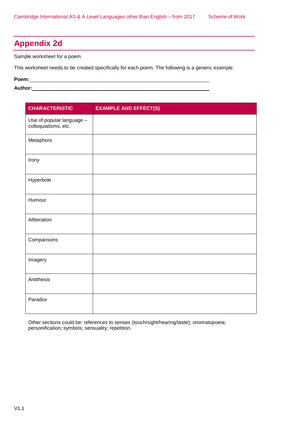# <span id="page-45-0"></span>**Appendix 2d**

Sample worksheet for a poem.

This worksheet needs to be created specifically for each poem. The following is a generic example.

**Poem:**

Author: **Author: Author: Author: Author: Author: Author: Author: Author: Author: Author: Author: Author: Author: Author: Author: Author: Author: Author: Author: Author: Author: Aut** 

| <b>CHARACTERISTIC</b>                             | <b>EXAMPLE AND EFFECT(S)</b> |
|---------------------------------------------------|------------------------------|
| Use of popular language -<br>colloquialisms, etc. |                              |
| Metaphors                                         |                              |
| Irony                                             |                              |
| Hyperbole                                         |                              |
| Humour                                            |                              |
| Alliteration                                      |                              |
| Comparisons                                       |                              |
| Imagery                                           |                              |
| Antithesis                                        |                              |
| Paradox                                           |                              |

Other sections could be: references to senses (touch/sight/hearing/taste); onomatopoeia; personification; symbols; sensuality; repetition.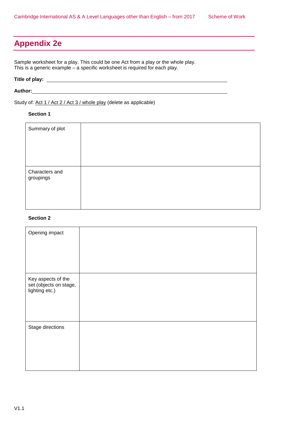# <span id="page-46-0"></span>**Appendix 2e**

Sample worksheet for a play. This could be one Act from a play or the whole play. This is a generic example – a specific worksheet is required for each play.

# **Title of play:**

#### **Author:**

Study of: Act 1 / Act 2 / Act 3 / whole play (delete as applicable)

### **Section 1**

| Summary of plot             |  |
|-----------------------------|--|
| Characters and<br>groupings |  |

## **Section 2**

| Opening impact                                                 |  |
|----------------------------------------------------------------|--|
| Key aspects of the<br>set (objects on stage,<br>lighting etc.) |  |
| Stage directions                                               |  |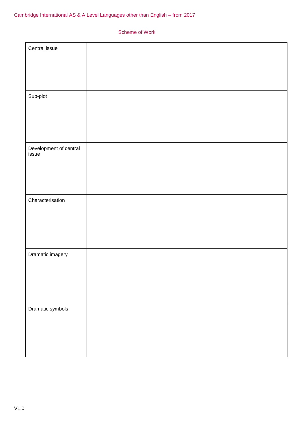| Central issue                   |  |
|---------------------------------|--|
|                                 |  |
| Sub-plot                        |  |
|                                 |  |
|                                 |  |
|                                 |  |
|                                 |  |
| Development of central<br>issue |  |
|                                 |  |
|                                 |  |
|                                 |  |
| Characterisation                |  |
|                                 |  |
|                                 |  |
|                                 |  |
|                                 |  |
| Dramatic imagery                |  |
|                                 |  |
|                                 |  |
|                                 |  |
|                                 |  |
| Dramatic symbols                |  |
|                                 |  |
|                                 |  |
|                                 |  |
|                                 |  |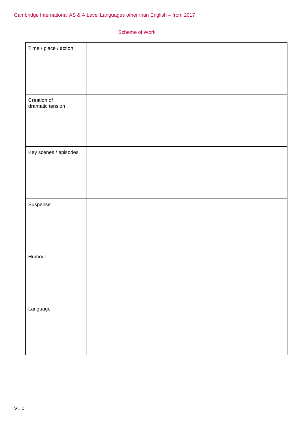| Time / place / action           |  |
|---------------------------------|--|
| Creation of<br>dramatic tension |  |
| Key scenes / episodes           |  |
| Suspense                        |  |
| Humour                          |  |
| Language                        |  |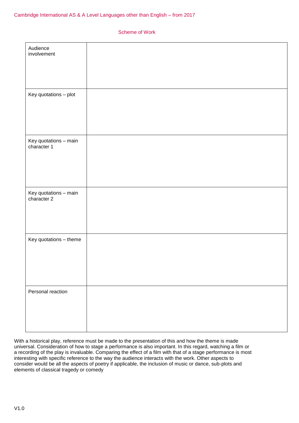| Audience<br>involvement              |  |
|--------------------------------------|--|
|                                      |  |
|                                      |  |
|                                      |  |
| Key quotations - plot                |  |
|                                      |  |
|                                      |  |
|                                      |  |
| Key quotations - main<br>character 1 |  |
|                                      |  |
|                                      |  |
|                                      |  |
| Key quotations - main<br>character 2 |  |
|                                      |  |
|                                      |  |
|                                      |  |
| Key quotations - theme               |  |
|                                      |  |
|                                      |  |
|                                      |  |
| Personal reaction                    |  |
|                                      |  |
|                                      |  |
|                                      |  |

With a historical play, reference must be made to the presentation of this and how the theme is made universal. Consideration of how to stage a performance is also important. In this regard, watching a film or a recording of the play is invaluable. Comparing the effect of a film with that of a stage performance is most interesting with specific reference to the way the audience interacts with the work. Other aspects to consider would be all the aspects of poetry if applicable, the inclusion of music or dance, sub-plots and elements of classical tragedy or comedy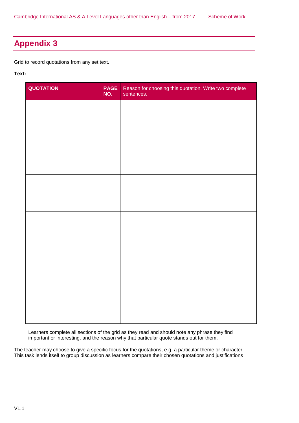# <span id="page-50-0"></span>**Appendix 3**

Grid to record quotations from any set text.

#### **Text:**

| QUOTATION | <b>PAGE</b><br>NO. | Reason for choosing this quotation. Write two complete<br>sentences. |
|-----------|--------------------|----------------------------------------------------------------------|
|           |                    |                                                                      |
|           |                    |                                                                      |
|           |                    |                                                                      |
|           |                    |                                                                      |
|           |                    |                                                                      |
|           |                    |                                                                      |
|           |                    |                                                                      |
|           |                    |                                                                      |
|           |                    |                                                                      |
|           |                    |                                                                      |
|           |                    |                                                                      |
|           |                    |                                                                      |
|           |                    |                                                                      |

Learners complete all sections of the grid as they read and should note any phrase they find important or interesting, and the reason why that particular quote stands out for them.

The teacher may choose to give a specific focus for the quotations, e.g. a particular theme or character. This task lends itself to group discussion as learners compare their chosen quotations and justifications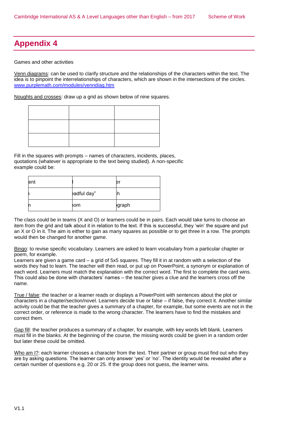# <span id="page-51-0"></span>**Appendix 4**

Games and other activities

Venn diagrams: can be used to clarify structure and the relationships of the characters within the text. The idea is to pinpoint the interrelationships of characters, which are shown in the intersections of the circles. [www.purplemath.com/modules/venndiag.htm](http://www.purplemath.com/modules/venndiag.htm)

Noughts and crosses: draw up a grid as shown below of nine squares.

Fill in the squares with prompts – names of characters, incidents, places, quotations (whatever is appropriate to the text being studied). A non-specific example could be:

| ent |             | е            |
|-----|-------------|--------------|
|     | eadful day" |              |
|     | om          | <b>graph</b> |

The class could be in teams (X and O) or learners could be in pairs. Each would take turns to choose an item from the grid and talk about it in relation to the text. If this is successful, they 'win' the square and put an X or O in it. The aim is either to gain as many squares as possible or to get three in a row. The prompts would then be changed for another game.

Bingo: to revise specific vocabulary. Learners are asked to learn vocabulary from a particular chapter or poem, for example.

Learners are given a game card – a grid of 5x5 squares. They fill it in at random with a selection of the words they had to learn. The teacher will then read, or put up on PowerPoint, a synonym or explanation of each word. Learners must match the explanation with the correct word. The first to complete the card wins. This could also be done with characters' names – the teacher gives a clue and the learners cross off the name.

True / false: the teacher or a learner reads or displays a PowerPoint with sentences about the plot or characters in a chapter/section/novel. Learners decide true or false – if false, they correct it. Another similar activity could be that the teacher gives a summary of a chapter, for example, but some events are not in the correct order, or reference is made to the wrong character. The learners have to find the mistakes and correct them.

Gap fill: the teacher produces a summary of a chapter, for example, with key words left blank. Learners must fill in the blanks. At the beginning of the course, the missing words could be given in a random order but later these could be omitted.

Who am  $12$ : each learner chooses a character from the text. Their partner or group must find out who they are by asking questions. The learner can only answer 'yes' or 'no'. The identity would be revealed after a certain number of questions e.g. 20 or 25. If the group does not guess, the learner wins.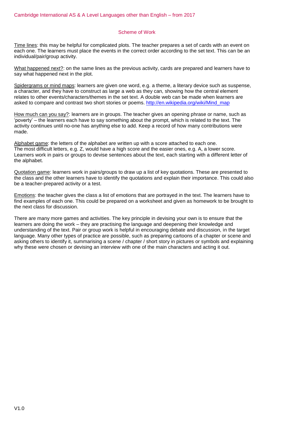Time lines: this may be helpful for complicated plots. The teacher prepares a set of cards with an event on each one. The learners must place the events in the correct order according to the set text. This can be an individual/pair/group activity.

What happened next?: on the same lines as the previous activity, cards are prepared and learners have to say what happened next in the plot.

Spidergrams or mind maps: learners are given one word, e.g. a theme, a literary device such as suspense, a character, and they have to construct as large a web as they can, showing how the central element relates to other events/characters/themes in the set text. A double web can be made when learners are asked to compare and contrast two short stories or poems. [http://en.wikipedia.org/wiki/Mind\\_map](http://en.wikipedia.org/wiki/Mind_map)

How much can you say?: learners are in groups. The teacher gives an opening phrase or name, such as 'poverty' – the learners each have to say something about the prompt, which is related to the text. The activity continues until no-one has anything else to add. Keep a record of how many contributions were made.

Alphabet game: the letters of the alphabet are written up with a score attached to each one. The most difficult letters, e.g. Z, would have a high score and the easier ones, e.g. A, a lower score. Learners work in pairs or groups to devise sentences about the text, each starting with a different letter of the alphabet.

Quotation game: learners work in pairs/groups to draw up a list of key quotations. These are presented to the class and the other learners have to identify the quotations and explain their importance. This could also be a teacher-prepared activity or a test.

Emotions: the teacher gives the class a list of emotions that are portrayed in the text. The learners have to find examples of each one. This could be prepared on a worksheet and given as homework to be brought to the next class for discussion.

There are many more games and activities. The key principle in devising your own is to ensure that the learners are doing the work – they are practising the language and deepening their knowledge and understanding of the text. Pair or group work is helpful in encouraging debate and discussion, in the target language. Many other types of practice are possible, such as preparing cartoons of a chapter or scene and asking others to identify it, summarising a scene / chapter / short story in pictures or symbols and explaining why these were chosen or devising an interview with one of the main characters and acting it out.